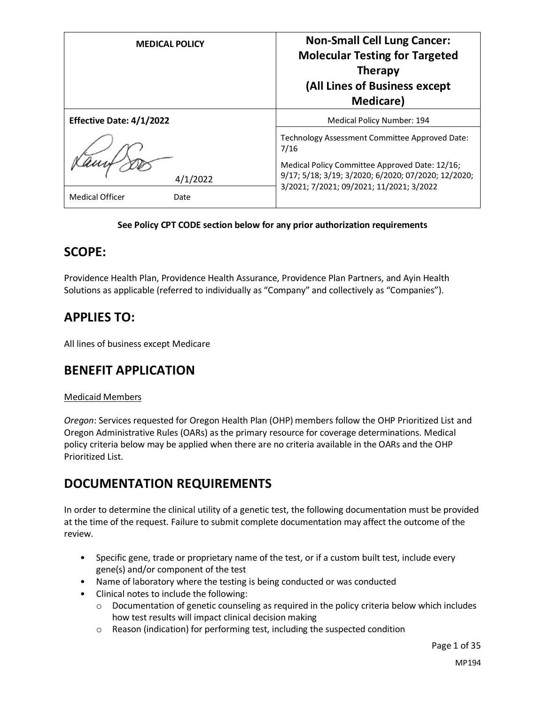| <b>MEDICAL POLICY</b>          | <b>Non-Small Cell Lung Cancer:</b><br><b>Molecular Testing for Targeted</b><br><b>Therapy</b><br>(All Lines of Business except<br><b>Medicare</b> )             |
|--------------------------------|-----------------------------------------------------------------------------------------------------------------------------------------------------------------|
| Effective Date: 4/1/2022       | Medical Policy Number: 194                                                                                                                                      |
| 4/1/2022                       | Technology Assessment Committee Approved Date:<br>7/16<br>Medical Policy Committee Approved Date: 12/16;<br>9/17; 5/18; 3/19; 3/2020; 6/2020; 07/2020; 12/2020; |
| <b>Medical Officer</b><br>Date | 3/2021; 7/2021; 09/2021; 11/2021; 3/2022                                                                                                                        |

#### **See Policy CPT CODE section below for any prior authorization requirements**

### **SCOPE:**

Providence Health Plan, Providence Health Assurance, Providence Plan Partners, and Ayin Health Solutions as applicable (referred to individually as "Company" and collectively as "Companies").

### **APPLIES TO:**

All lines of business except Medicare

### **BENEFIT APPLICATION**

#### Medicaid Members

*Oregon*: Services requested for Oregon Health Plan (OHP) members follow the OHP Prioritized List and Oregon Administrative Rules (OARs) as the primary resource for coverage determinations. Medical policy criteria below may be applied when there are no criteria available in the OARs and the OHP Prioritized List.

### **DOCUMENTATION REQUIREMENTS**

In order to determine the clinical utility of a genetic test, the following documentation must be provided at the time of the request. Failure to submit complete documentation may affect the outcome of the review.

- Specific gene, trade or proprietary name of the test, or if a custom built test, include every gene(s) and/or component of the test
- Name of laboratory where the testing is being conducted or was conducted
- Clinical notes to include the following:
	- $\circ$  Documentation of genetic counseling as required in the policy criteria below which includes how test results will impact clinical decision making
	- o Reason (indication) for performing test, including the suspected condition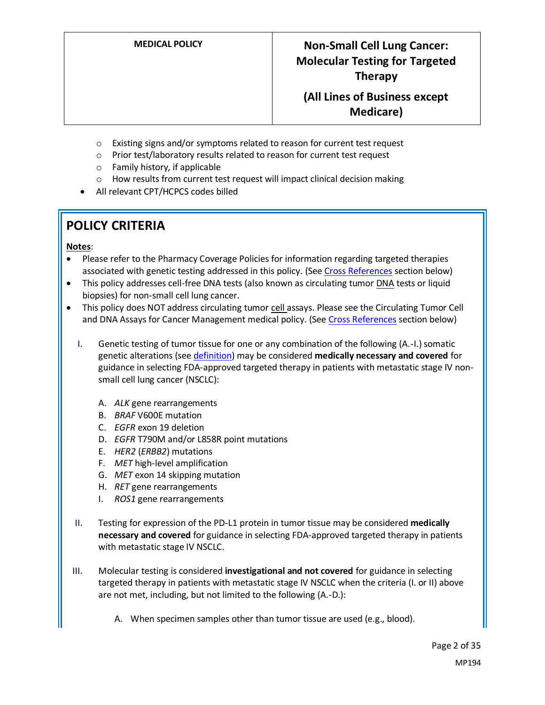- o Existing signs and/or symptoms related to reason for current test request
- o Prior test/laboratory results related to reason for current test request
- o Family history, if applicable
- o How results from current test request will impact clinical decision making
- All relevant CPT/HCPCS codes billed

# **POLICY CRITERIA**

#### **Notes**:

- Please refer to the Pharmacy Coverage Policies for information regarding targeted therapies associated with genetic testing addressed in this policy. (Se[e Cross References](#page-26-0) section below)
- This policy addresses cell-free DNA tests (also known as circulating tumor DNA tests or liquid biopsies) for non-small cell lung cancer.
- This policy does NOT address circulating tumor cell assays. Please see the Circulating Tumor Cell and DNA Assays for Cancer Management medical policy. (See [Cross References](#page-26-0) section below)
	- I. Genetic testing of tumor tissue for one or any combination of the following (A.-I.) somatic genetic alterations (se[e definition\)](#page-3-0) may be considered **medically necessary and covered** for guidance in selecting FDA-approved targeted therapy in patients with metastatic stage IV nonsmall cell lung cancer (NSCLC):
		- A. *ALK* gene rearrangements
		- B. *BRAF* V600E mutation
		- C. *EGFR* exon 19 deletion
		- D. *EGFR* T790M and/or L858R point mutations
		- E. *HER2* (*ERBB2*) mutations
		- F. *MET* high-level amplification
		- G. *MET* exon 14 skipping mutation
		- H. *RET* gene rearrangements
		- I. *ROS1* gene rearrangements
	- II. Testing for expression of the PD-L1 protein in tumor tissue may be considered **medically necessary and covered** for guidance in selecting FDA-approved targeted therapy in patients with metastatic stage IV NSCLC.
- III. Molecular testing is considered **investigational and not covered** for guidance in selecting targeted therapy in patients with metastatic stage IV NSCLC when the criteria (I. or II) above are not met, including, but not limited to the following (A.-D.):
	- A. When specimen samples other than tumor tissue are used (e.g., blood).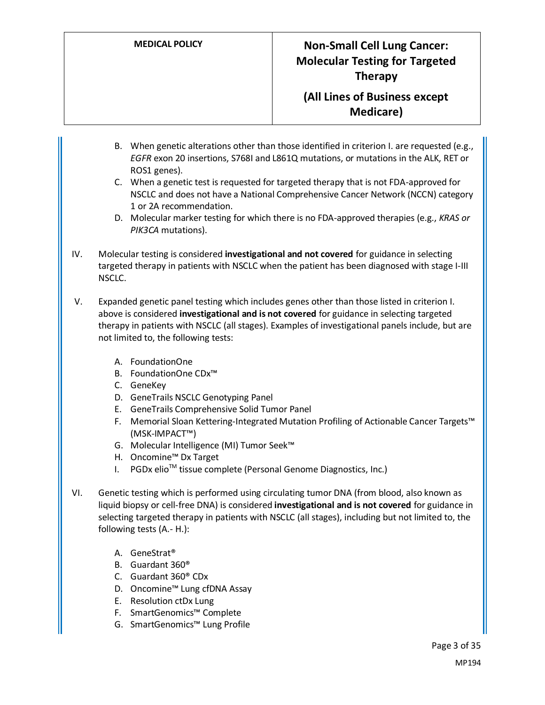- B. When genetic alterations other than those identified in criterion I. are requested (e.g., *EGFR* exon 20 insertions, S768I and L861Q mutations, or mutations in the ALK, RET or ROS1 genes).
- C. When a genetic test is requested for targeted therapy that is not FDA-approved for NSCLC and does not have a National Comprehensive Cancer Network (NCCN) category 1 or 2A recommendation.
- D. Molecular marker testing for which there is no FDA-approved therapies (e.g., *KRAS or PIK3CA* mutations).
- IV. Molecular testing is considered **investigational and not covered** for guidance in selecting targeted therapy in patients with NSCLC when the patient has been diagnosed with stage I-III NSCLC.
- V. Expanded genetic panel testing which includes genes other than those listed in criterion I. above is considered **investigational and is not covered** for guidance in selecting targeted therapy in patients with NSCLC (all stages). Examples of investigational panels include, but are not limited to, the following tests:
	- A. FoundationOne
	- B. FoundationOne CDx™
	- C. GeneKey
	- D. GeneTrails NSCLC Genotyping Panel
	- E. GeneTrails Comprehensive Solid Tumor Panel
	- F. Memorial Sloan Kettering-Integrated Mutation Profiling of Actionable Cancer Targets™ (MSK-IMPACT™)
	- G. Molecular Intelligence (MI) Tumor Seek™
	- H. Oncomine™ Dx Target
	- I. PGDx elio<sup>™</sup> tissue complete (Personal Genome Diagnostics, Inc.)
- VI. Genetic testing which is performed using circulating tumor DNA (from blood, also known as liquid biopsy or cell-free DNA) is considered **investigational and is not covered** for guidance in selecting targeted therapy in patients with NSCLC (all stages), including but not limited to, the following tests (A.- H.):
	- A. GeneStrat®
	- B. Guardant 360®
	- C. Guardant 360® CDx
	- D. Oncomine™ Lung cfDNA Assay
	- E. Resolution ctDx Lung
	- F. SmartGenomics™ Complete
	- G. SmartGenomics™ Lung Profile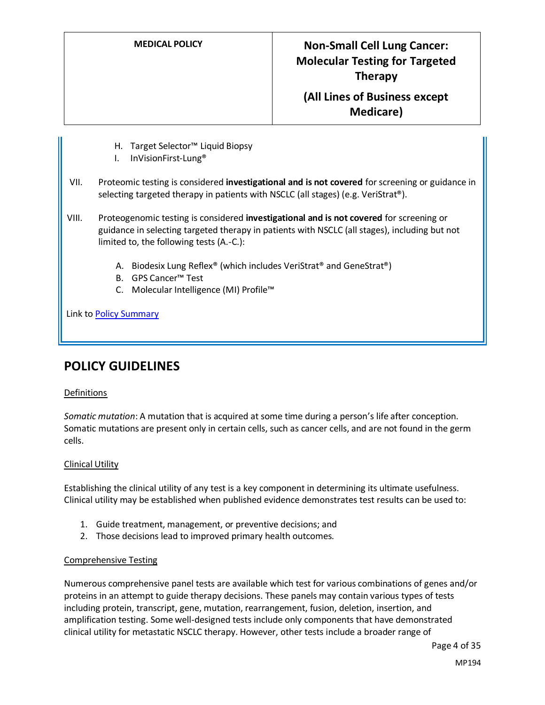- H. Target Selector™ Liquid Biopsy
- I. InVisionFirst-Lung®
- VII. Proteomic testing is considered **investigational and is not covered** for screening or guidance in selecting targeted therapy in patients with NSCLC (all stages) (e.g. VeriStrat®).
- VIII. Proteogenomic testing is considered **investigational and is not covered** for screening or guidance in selecting targeted therapy in patients with NSCLC (all stages), including but not limited to, the following tests (A.-C.):
	- A. Biodesix Lung Reflex<sup>®</sup> (which includes VeriStrat<sup>®</sup> and GeneStrat<sup>®</sup>)
	- B. GPS Cancer™ Test
	- C. Molecular Intelligence (MI) Profile™

Link to [Policy Summary](#page-20-0)

### **POLICY GUIDELINES**

#### Definitions

<span id="page-3-0"></span>*Somatic mutation*: A mutation that is acquired at some time during a person's life after conception. Somatic mutations are present only in certain cells, such as cancer cells, and are not found in the germ cells.

#### Clinical Utility

Establishing the clinical utility of any test is a key component in determining its ultimate usefulness. Clinical utility may be established when published evidence demonstrates test results can be used to:

- 1. Guide treatment, management, or preventive decisions; and
- 2. Those decisions lead to improved primary health outcomes.

#### Comprehensive Testing

Numerous comprehensive panel tests are available which test for various combinations of genes and/or proteins in an attempt to guide therapy decisions. These panels may contain various types of tests including protein, transcript, gene, mutation, rearrangement, fusion, deletion, insertion, and amplification testing. Some well-designed tests include only components that have demonstrated clinical utility for metastatic NSCLC therapy. However, other tests include a broader range of

Page 4 of 35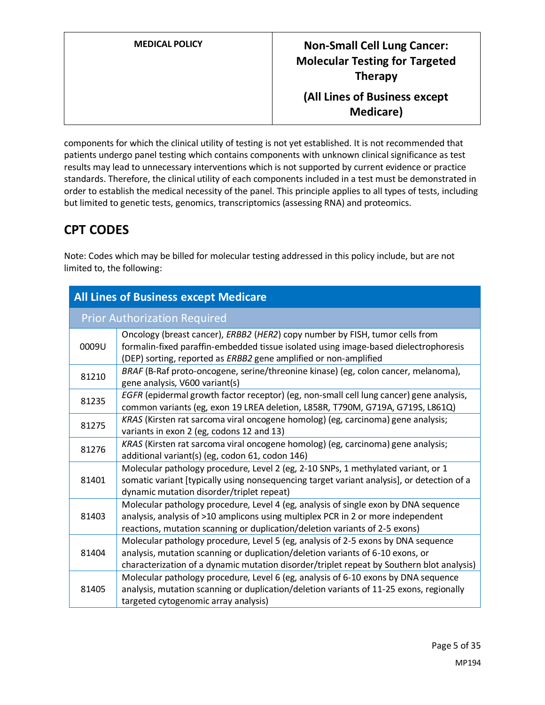| <b>MEDICAL POLICY</b> | <b>Non-Small Cell Lung Cancer:</b><br><b>Molecular Testing for Targeted</b><br><b>Therapy</b> |
|-----------------------|-----------------------------------------------------------------------------------------------|
|                       | (All Lines of Business except<br><b>Medicare</b> )                                            |

components for which the clinical utility of testing is not yet established. It is not recommended that patients undergo panel testing which contains components with unknown clinical significance as test results may lead to unnecessary interventions which is not supported by current evidence or practice standards. Therefore, the clinical utility of each components included in a test must be demonstrated in order to establish the medical necessity of the panel. This principle applies to all types of tests, including but limited to genetic tests, genomics, transcriptomics (assessing RNA) and proteomics.

### **CPT CODES**

Note: Codes which may be billed for molecular testing addressed in this policy include, but are not limited to, the following:

| <b>All Lines of Business except Medicare</b> |                                                                                                                                                                                                                                                                  |  |
|----------------------------------------------|------------------------------------------------------------------------------------------------------------------------------------------------------------------------------------------------------------------------------------------------------------------|--|
|                                              | <b>Prior Authorization Required</b>                                                                                                                                                                                                                              |  |
| 0009U                                        | Oncology (breast cancer), ERBB2 (HER2) copy number by FISH, tumor cells from<br>formalin-fixed paraffin-embedded tissue isolated using image-based dielectrophoresis<br>(DEP) sorting, reported as ERBB2 gene amplified or non-amplified                         |  |
| 81210                                        | BRAF (B-Raf proto-oncogene, serine/threonine kinase) (eg, colon cancer, melanoma),<br>gene analysis, V600 variant(s)                                                                                                                                             |  |
| 81235                                        | EGFR (epidermal growth factor receptor) (eg, non-small cell lung cancer) gene analysis,<br>common variants (eg, exon 19 LREA deletion, L858R, T790M, G719A, G719S, L861Q)                                                                                        |  |
| 81275                                        | KRAS (Kirsten rat sarcoma viral oncogene homolog) (eg, carcinoma) gene analysis;<br>variants in exon 2 (eg, codons 12 and 13)                                                                                                                                    |  |
| 81276                                        | KRAS (Kirsten rat sarcoma viral oncogene homolog) (eg, carcinoma) gene analysis;<br>additional variant(s) (eg, codon 61, codon 146)                                                                                                                              |  |
| 81401                                        | Molecular pathology procedure, Level 2 (eg, 2-10 SNPs, 1 methylated variant, or 1<br>somatic variant [typically using nonsequencing target variant analysis], or detection of a<br>dynamic mutation disorder/triplet repeat)                                     |  |
| 81403                                        | Molecular pathology procedure, Level 4 (eg, analysis of single exon by DNA sequence<br>analysis, analysis of >10 amplicons using multiplex PCR in 2 or more independent<br>reactions, mutation scanning or duplication/deletion variants of 2-5 exons)           |  |
| 81404                                        | Molecular pathology procedure, Level 5 (eg, analysis of 2-5 exons by DNA sequence<br>analysis, mutation scanning or duplication/deletion variants of 6-10 exons, or<br>characterization of a dynamic mutation disorder/triplet repeat by Southern blot analysis) |  |
| 81405                                        | Molecular pathology procedure, Level 6 (eg, analysis of 6-10 exons by DNA sequence<br>analysis, mutation scanning or duplication/deletion variants of 11-25 exons, regionally<br>targeted cytogenomic array analysis)                                            |  |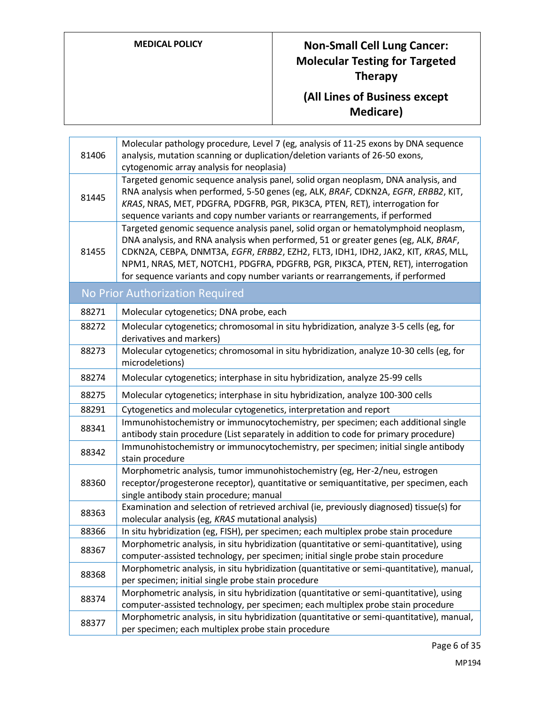# **MEDICAL POLICY Non-Small Cell Lung Cancer: Molecular Testing for Targeted Therapy**

### **(All Lines of Business except Medicare)**

| Targeted genomic sequence analysis panel, solid organ neoplasm, DNA analysis, and<br>RNA analysis when performed, 5-50 genes (eg, ALK, BRAF, CDKN2A, EGFR, ERBB2, KIT,<br>81445<br>KRAS, NRAS, MET, PDGFRA, PDGFRB, PGR, PIK3CA, PTEN, RET), interrogation for<br>sequence variants and copy number variants or rearrangements, if performed<br>Targeted genomic sequence analysis panel, solid organ or hematolymphoid neoplasm,<br>DNA analysis, and RNA analysis when performed, 51 or greater genes (eg, ALK, BRAF,<br>CDKN2A, CEBPA, DNMT3A, EGFR, ERBB2, EZH2, FLT3, IDH1, IDH2, JAK2, KIT, KRAS, MLL,<br>81455<br>NPM1, NRAS, MET, NOTCH1, PDGFRA, PDGFRB, PGR, PIK3CA, PTEN, RET), interrogation<br>for sequence variants and copy number variants or rearrangements, if performed<br>No Prior Authorization Required<br>88271<br>Molecular cytogenetics; DNA probe, each<br>Molecular cytogenetics; chromosomal in situ hybridization, analyze 3-5 cells (eg, for<br>88272<br>derivatives and markers)<br>Molecular cytogenetics; chromosomal in situ hybridization, analyze 10-30 cells (eg, for<br>88273<br>microdeletions)<br>Molecular cytogenetics; interphase in situ hybridization, analyze 25-99 cells<br>88274<br>Molecular cytogenetics; interphase in situ hybridization, analyze 100-300 cells<br>88275<br>88291<br>Cytogenetics and molecular cytogenetics, interpretation and report<br>Immunohistochemistry or immunocytochemistry, per specimen; each additional single<br>88341<br>antibody stain procedure (List separately in addition to code for primary procedure)<br>Immunohistochemistry or immunocytochemistry, per specimen; initial single antibody<br>88342<br>stain procedure<br>Morphometric analysis, tumor immunohistochemistry (eg, Her-2/neu, estrogen<br>88360<br>receptor/progesterone receptor), quantitative or semiquantitative, per specimen, each<br>single antibody stain procedure; manual<br>Examination and selection of retrieved archival (ie, previously diagnosed) tissue(s) for<br>88363<br>molecular analysis (eg, KRAS mutational analysis)<br>In situ hybridization (eg, FISH), per specimen; each multiplex probe stain procedure<br>88366<br>Morphometric analysis, in situ hybridization (quantitative or semi-quantitative), using<br>88367<br>computer-assisted technology, per specimen; initial single probe stain procedure<br>Morphometric analysis, in situ hybridization (quantitative or semi-quantitative), manual,<br>88368<br>per specimen; initial single probe stain procedure<br>Morphometric analysis, in situ hybridization (quantitative or semi-quantitative), using<br>88374<br>computer-assisted technology, per specimen; each multiplex probe stain procedure<br>Morphometric analysis, in situ hybridization (quantitative or semi-quantitative), manual,<br>88377<br>per specimen; each multiplex probe stain procedure | 81406 | Molecular pathology procedure, Level 7 (eg, analysis of 11-25 exons by DNA sequence<br>analysis, mutation scanning or duplication/deletion variants of 26-50 exons, |
|-------------------------------------------------------------------------------------------------------------------------------------------------------------------------------------------------------------------------------------------------------------------------------------------------------------------------------------------------------------------------------------------------------------------------------------------------------------------------------------------------------------------------------------------------------------------------------------------------------------------------------------------------------------------------------------------------------------------------------------------------------------------------------------------------------------------------------------------------------------------------------------------------------------------------------------------------------------------------------------------------------------------------------------------------------------------------------------------------------------------------------------------------------------------------------------------------------------------------------------------------------------------------------------------------------------------------------------------------------------------------------------------------------------------------------------------------------------------------------------------------------------------------------------------------------------------------------------------------------------------------------------------------------------------------------------------------------------------------------------------------------------------------------------------------------------------------------------------------------------------------------------------------------------------------------------------------------------------------------------------------------------------------------------------------------------------------------------------------------------------------------------------------------------------------------------------------------------------------------------------------------------------------------------------------------------------------------------------------------------------------------------------------------------------------------------------------------------------------------------------------------------------------------------------------------------------------------------------------------------------------------------------------------------------------------------------------------------------------------------------------------------------------------------------------------------------------------------------------------------------------------------------------------------------|-------|---------------------------------------------------------------------------------------------------------------------------------------------------------------------|
|                                                                                                                                                                                                                                                                                                                                                                                                                                                                                                                                                                                                                                                                                                                                                                                                                                                                                                                                                                                                                                                                                                                                                                                                                                                                                                                                                                                                                                                                                                                                                                                                                                                                                                                                                                                                                                                                                                                                                                                                                                                                                                                                                                                                                                                                                                                                                                                                                                                                                                                                                                                                                                                                                                                                                                                                                                                                                                                   |       | cytogenomic array analysis for neoplasia)                                                                                                                           |
|                                                                                                                                                                                                                                                                                                                                                                                                                                                                                                                                                                                                                                                                                                                                                                                                                                                                                                                                                                                                                                                                                                                                                                                                                                                                                                                                                                                                                                                                                                                                                                                                                                                                                                                                                                                                                                                                                                                                                                                                                                                                                                                                                                                                                                                                                                                                                                                                                                                                                                                                                                                                                                                                                                                                                                                                                                                                                                                   |       |                                                                                                                                                                     |
|                                                                                                                                                                                                                                                                                                                                                                                                                                                                                                                                                                                                                                                                                                                                                                                                                                                                                                                                                                                                                                                                                                                                                                                                                                                                                                                                                                                                                                                                                                                                                                                                                                                                                                                                                                                                                                                                                                                                                                                                                                                                                                                                                                                                                                                                                                                                                                                                                                                                                                                                                                                                                                                                                                                                                                                                                                                                                                                   |       |                                                                                                                                                                     |
|                                                                                                                                                                                                                                                                                                                                                                                                                                                                                                                                                                                                                                                                                                                                                                                                                                                                                                                                                                                                                                                                                                                                                                                                                                                                                                                                                                                                                                                                                                                                                                                                                                                                                                                                                                                                                                                                                                                                                                                                                                                                                                                                                                                                                                                                                                                                                                                                                                                                                                                                                                                                                                                                                                                                                                                                                                                                                                                   |       |                                                                                                                                                                     |
|                                                                                                                                                                                                                                                                                                                                                                                                                                                                                                                                                                                                                                                                                                                                                                                                                                                                                                                                                                                                                                                                                                                                                                                                                                                                                                                                                                                                                                                                                                                                                                                                                                                                                                                                                                                                                                                                                                                                                                                                                                                                                                                                                                                                                                                                                                                                                                                                                                                                                                                                                                                                                                                                                                                                                                                                                                                                                                                   |       |                                                                                                                                                                     |
|                                                                                                                                                                                                                                                                                                                                                                                                                                                                                                                                                                                                                                                                                                                                                                                                                                                                                                                                                                                                                                                                                                                                                                                                                                                                                                                                                                                                                                                                                                                                                                                                                                                                                                                                                                                                                                                                                                                                                                                                                                                                                                                                                                                                                                                                                                                                                                                                                                                                                                                                                                                                                                                                                                                                                                                                                                                                                                                   |       |                                                                                                                                                                     |
|                                                                                                                                                                                                                                                                                                                                                                                                                                                                                                                                                                                                                                                                                                                                                                                                                                                                                                                                                                                                                                                                                                                                                                                                                                                                                                                                                                                                                                                                                                                                                                                                                                                                                                                                                                                                                                                                                                                                                                                                                                                                                                                                                                                                                                                                                                                                                                                                                                                                                                                                                                                                                                                                                                                                                                                                                                                                                                                   |       |                                                                                                                                                                     |
|                                                                                                                                                                                                                                                                                                                                                                                                                                                                                                                                                                                                                                                                                                                                                                                                                                                                                                                                                                                                                                                                                                                                                                                                                                                                                                                                                                                                                                                                                                                                                                                                                                                                                                                                                                                                                                                                                                                                                                                                                                                                                                                                                                                                                                                                                                                                                                                                                                                                                                                                                                                                                                                                                                                                                                                                                                                                                                                   |       |                                                                                                                                                                     |
|                                                                                                                                                                                                                                                                                                                                                                                                                                                                                                                                                                                                                                                                                                                                                                                                                                                                                                                                                                                                                                                                                                                                                                                                                                                                                                                                                                                                                                                                                                                                                                                                                                                                                                                                                                                                                                                                                                                                                                                                                                                                                                                                                                                                                                                                                                                                                                                                                                                                                                                                                                                                                                                                                                                                                                                                                                                                                                                   |       |                                                                                                                                                                     |
|                                                                                                                                                                                                                                                                                                                                                                                                                                                                                                                                                                                                                                                                                                                                                                                                                                                                                                                                                                                                                                                                                                                                                                                                                                                                                                                                                                                                                                                                                                                                                                                                                                                                                                                                                                                                                                                                                                                                                                                                                                                                                                                                                                                                                                                                                                                                                                                                                                                                                                                                                                                                                                                                                                                                                                                                                                                                                                                   |       |                                                                                                                                                                     |
|                                                                                                                                                                                                                                                                                                                                                                                                                                                                                                                                                                                                                                                                                                                                                                                                                                                                                                                                                                                                                                                                                                                                                                                                                                                                                                                                                                                                                                                                                                                                                                                                                                                                                                                                                                                                                                                                                                                                                                                                                                                                                                                                                                                                                                                                                                                                                                                                                                                                                                                                                                                                                                                                                                                                                                                                                                                                                                                   |       |                                                                                                                                                                     |
|                                                                                                                                                                                                                                                                                                                                                                                                                                                                                                                                                                                                                                                                                                                                                                                                                                                                                                                                                                                                                                                                                                                                                                                                                                                                                                                                                                                                                                                                                                                                                                                                                                                                                                                                                                                                                                                                                                                                                                                                                                                                                                                                                                                                                                                                                                                                                                                                                                                                                                                                                                                                                                                                                                                                                                                                                                                                                                                   |       |                                                                                                                                                                     |
|                                                                                                                                                                                                                                                                                                                                                                                                                                                                                                                                                                                                                                                                                                                                                                                                                                                                                                                                                                                                                                                                                                                                                                                                                                                                                                                                                                                                                                                                                                                                                                                                                                                                                                                                                                                                                                                                                                                                                                                                                                                                                                                                                                                                                                                                                                                                                                                                                                                                                                                                                                                                                                                                                                                                                                                                                                                                                                                   |       |                                                                                                                                                                     |
|                                                                                                                                                                                                                                                                                                                                                                                                                                                                                                                                                                                                                                                                                                                                                                                                                                                                                                                                                                                                                                                                                                                                                                                                                                                                                                                                                                                                                                                                                                                                                                                                                                                                                                                                                                                                                                                                                                                                                                                                                                                                                                                                                                                                                                                                                                                                                                                                                                                                                                                                                                                                                                                                                                                                                                                                                                                                                                                   |       |                                                                                                                                                                     |
|                                                                                                                                                                                                                                                                                                                                                                                                                                                                                                                                                                                                                                                                                                                                                                                                                                                                                                                                                                                                                                                                                                                                                                                                                                                                                                                                                                                                                                                                                                                                                                                                                                                                                                                                                                                                                                                                                                                                                                                                                                                                                                                                                                                                                                                                                                                                                                                                                                                                                                                                                                                                                                                                                                                                                                                                                                                                                                                   |       |                                                                                                                                                                     |
|                                                                                                                                                                                                                                                                                                                                                                                                                                                                                                                                                                                                                                                                                                                                                                                                                                                                                                                                                                                                                                                                                                                                                                                                                                                                                                                                                                                                                                                                                                                                                                                                                                                                                                                                                                                                                                                                                                                                                                                                                                                                                                                                                                                                                                                                                                                                                                                                                                                                                                                                                                                                                                                                                                                                                                                                                                                                                                                   |       |                                                                                                                                                                     |
|                                                                                                                                                                                                                                                                                                                                                                                                                                                                                                                                                                                                                                                                                                                                                                                                                                                                                                                                                                                                                                                                                                                                                                                                                                                                                                                                                                                                                                                                                                                                                                                                                                                                                                                                                                                                                                                                                                                                                                                                                                                                                                                                                                                                                                                                                                                                                                                                                                                                                                                                                                                                                                                                                                                                                                                                                                                                                                                   |       |                                                                                                                                                                     |
|                                                                                                                                                                                                                                                                                                                                                                                                                                                                                                                                                                                                                                                                                                                                                                                                                                                                                                                                                                                                                                                                                                                                                                                                                                                                                                                                                                                                                                                                                                                                                                                                                                                                                                                                                                                                                                                                                                                                                                                                                                                                                                                                                                                                                                                                                                                                                                                                                                                                                                                                                                                                                                                                                                                                                                                                                                                                                                                   |       |                                                                                                                                                                     |
|                                                                                                                                                                                                                                                                                                                                                                                                                                                                                                                                                                                                                                                                                                                                                                                                                                                                                                                                                                                                                                                                                                                                                                                                                                                                                                                                                                                                                                                                                                                                                                                                                                                                                                                                                                                                                                                                                                                                                                                                                                                                                                                                                                                                                                                                                                                                                                                                                                                                                                                                                                                                                                                                                                                                                                                                                                                                                                                   |       |                                                                                                                                                                     |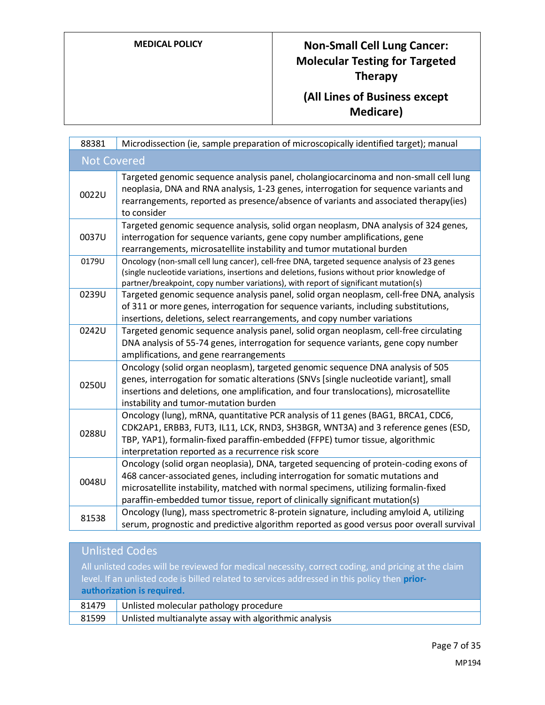# **MEDICAL POLICY Non-Small Cell Lung Cancer: Molecular Testing for Targeted Therapy (All Lines of Business except**

**Medicare)**

| 88381              | Microdissection (ie, sample preparation of microscopically identified target); manual                                                                                                                                                                                                                                                          |
|--------------------|------------------------------------------------------------------------------------------------------------------------------------------------------------------------------------------------------------------------------------------------------------------------------------------------------------------------------------------------|
| <b>Not Covered</b> |                                                                                                                                                                                                                                                                                                                                                |
| 0022U              | Targeted genomic sequence analysis panel, cholangiocarcinoma and non-small cell lung<br>neoplasia, DNA and RNA analysis, 1-23 genes, interrogation for sequence variants and<br>rearrangements, reported as presence/absence of variants and associated therapy(ies)<br>to consider                                                            |
| 0037U              | Targeted genomic sequence analysis, solid organ neoplasm, DNA analysis of 324 genes,<br>interrogation for sequence variants, gene copy number amplifications, gene<br>rearrangements, microsatellite instability and tumor mutational burden                                                                                                   |
| 0179U              | Oncology (non-small cell lung cancer), cell-free DNA, targeted sequence analysis of 23 genes<br>(single nucleotide variations, insertions and deletions, fusions without prior knowledge of<br>partner/breakpoint, copy number variations), with report of significant mutation(s)                                                             |
| 0239U              | Targeted genomic sequence analysis panel, solid organ neoplasm, cell-free DNA, analysis<br>of 311 or more genes, interrogation for sequence variants, including substitutions,<br>insertions, deletions, select rearrangements, and copy number variations                                                                                     |
| 0242U              | Targeted genomic sequence analysis panel, solid organ neoplasm, cell-free circulating<br>DNA analysis of 55-74 genes, interrogation for sequence variants, gene copy number<br>amplifications, and gene rearrangements                                                                                                                         |
| 0250U              | Oncology (solid organ neoplasm), targeted genomic sequence DNA analysis of 505<br>genes, interrogation for somatic alterations (SNVs [single nucleotide variant], small<br>insertions and deletions, one amplification, and four translocations), microsatellite<br>instability and tumor-mutation burden                                      |
| 0288U              | Oncology (lung), mRNA, quantitative PCR analysis of 11 genes (BAG1, BRCA1, CDC6,<br>CDK2AP1, ERBB3, FUT3, IL11, LCK, RND3, SH3BGR, WNT3A) and 3 reference genes (ESD,<br>TBP, YAP1), formalin-fixed paraffin-embedded (FFPE) tumor tissue, algorithmic<br>interpretation reported as a recurrence risk score                                   |
| 0048U              | Oncology (solid organ neoplasia), DNA, targeted sequencing of protein-coding exons of<br>468 cancer-associated genes, including interrogation for somatic mutations and<br>microsatellite instability, matched with normal specimens, utilizing formalin-fixed<br>paraffin-embedded tumor tissue, report of clinically significant mutation(s) |
| 81538              | Oncology (lung), mass spectrometric 8-protein signature, including amyloid A, utilizing<br>serum, prognostic and predictive algorithm reported as good versus poor overall survival                                                                                                                                                            |

|       | <b>Unlisted Codes</b>                                                                                                                                                                                                              |
|-------|------------------------------------------------------------------------------------------------------------------------------------------------------------------------------------------------------------------------------------|
|       | All unlisted codes will be reviewed for medical necessity, correct coding, and pricing at the claim<br>level. If an unlisted code is billed related to services addressed in this policy then prior-<br>authorization is required. |
| 81479 | Unlisted molecular pathology procedure                                                                                                                                                                                             |
| 81599 | Unlisted multianalyte assay with algorithmic analysis                                                                                                                                                                              |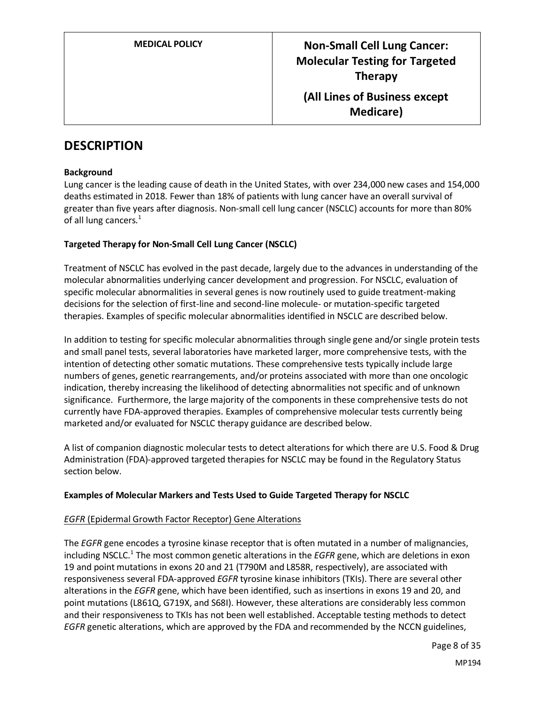### **DESCRIPTION**

#### **Background**

Lung cancer is the leading cause of death in the United States, with over 234,000 new cases and 154,000 deaths estimated in 2018. Fewer than 18% of patients with lung cancer have an overall survival of greater than five years after diagnosis. Non-small cell lung cancer (NSCLC) accounts for more than 80% of all lung cancers.<sup>1</sup>

#### **Targeted Therapy for Non-Small Cell Lung Cancer (NSCLC)**

Treatment of NSCLC has evolved in the past decade, largely due to the advances in understanding of the molecular abnormalities underlying cancer development and progression. For NSCLC, evaluation of specific molecular abnormalities in several genes is now routinely used to guide treatment-making decisions for the selection of first-line and second-line molecule- or mutation-specific targeted therapies. Examples of specific molecular abnormalities identified in NSCLC are described below.

In addition to testing for specific molecular abnormalities through single gene and/or single protein tests and small panel tests, several laboratories have marketed larger, more comprehensive tests, with the intention of detecting other somatic mutations. These comprehensive tests typically include large numbers of genes, genetic rearrangements, and/or proteins associated with more than one oncologic indication, thereby increasing the likelihood of detecting abnormalities not specific and of unknown significance. Furthermore, the large majority of the components in these comprehensive tests do not currently have FDA-approved therapies. Examples of comprehensive molecular tests currently being marketed and/or evaluated for NSCLC therapy guidance are described below.

A list of companion diagnostic molecular tests to detect alterations for which there are U.S. Food & Drug Administration (FDA)-approved targeted therapies for NSCLC may be found in the Regulatory Status section below.

#### **Examples of Molecular Markers and Tests Used to Guide Targeted Therapy for NSCLC**

#### *EGFR* (Epidermal Growth Factor Receptor) Gene Alterations

The *EGFR* gene encodes a tyrosine kinase receptor that is often mutated in a number of malignancies, including NSCLC. 1 The most common genetic alterations in the *EGFR* gene, which are deletions in exon 19 and point mutations in exons 20 and 21 (T790M and L858R, respectively), are associated with responsiveness several FDA-approved *EGFR* tyrosine kinase inhibitors (TKIs). There are several other alterations in the *EGFR* gene, which have been identified, such as insertions in exons 19 and 20, and point mutations (L861Q, G719X, and S68I). However, these alterations are considerably less common and their responsiveness to TKIs has not been well established. Acceptable testing methods to detect *EGFR* genetic alterations, which are approved by the FDA and recommended by the NCCN guidelines,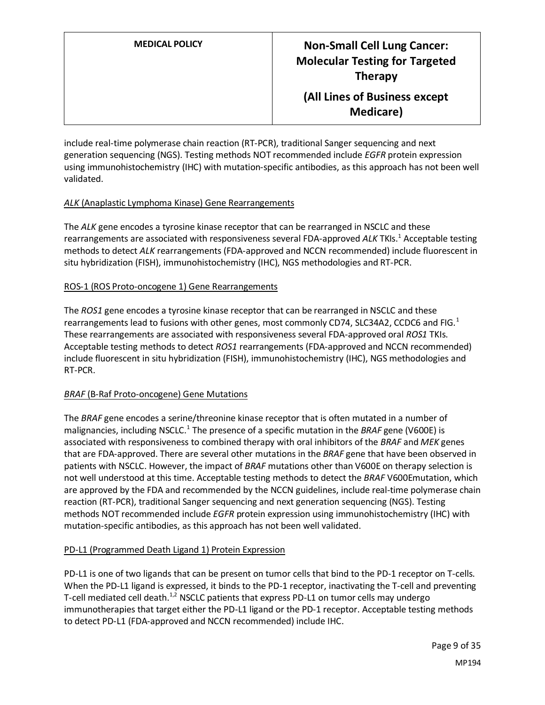include real-time polymerase chain reaction (RT-PCR), traditional Sanger sequencing and next generation sequencing (NGS). Testing methods NOT recommended include *EGFR* protein expression using immunohistochemistry (IHC) with mutation-specific antibodies, as this approach has not been well validated.

#### *ALK* (Anaplastic Lymphoma Kinase) Gene Rearrangements

The *ALK* gene encodes a tyrosine kinase receptor that can be rearranged in NSCLC and these rearrangements are associated with responsiveness several FDA-approved ALK TKIs.<sup>1</sup> Acceptable testing methods to detect *ALK* rearrangements (FDA-approved and NCCN recommended) include fluorescent in situ hybridization (FISH), immunohistochemistry (IHC), NGS methodologies and RT-PCR.

#### ROS-1 (ROS Proto-oncogene 1) Gene Rearrangements

The *ROS1* gene encodes a tyrosine kinase receptor that can be rearranged in NSCLC and these rearrangements lead to fusions with other genes, most commonly CD74, SLC34A2, CCDC6 and FIG.<sup>1</sup> These rearrangements are associated with responsiveness several FDA-approved oral *ROS1* TKIs. Acceptable testing methods to detect *ROS1* rearrangements (FDA-approved and NCCN recommended) include fluorescent in situ hybridization (FISH), immunohistochemistry (IHC), NGS methodologies and RT-PCR.

#### *BRAF* (B-Raf Proto-oncogene) Gene Mutations

The *BRAF* gene encodes a serine/threonine kinase receptor that is often mutated in a number of malignancies, including NSCLC.<sup>1</sup> The presence of a specific mutation in the *BRAF* gene (V600E) is associated with responsiveness to combined therapy with oral inhibitors of the *BRAF* and *MEK* genes that are FDA-approved. There are several other mutations in the *BRAF* gene that have been observed in patients with NSCLC. However, the impact of *BRAF* mutations other than V600E on therapy selection is not well understood at this time. Acceptable testing methods to detect the *BRAF* V600Emutation, which are approved by the FDA and recommended by the NCCN guidelines, include real-time polymerase chain reaction (RT-PCR), traditional Sanger sequencing and next generation sequencing (NGS). Testing methods NOT recommended include *EGFR* protein expression using immunohistochemistry (IHC) with mutation-specific antibodies, as this approach has not been well validated.

#### PD-L1 (Programmed Death Ligand 1) Protein Expression

PD-L1 is one of two ligands that can be present on tumor cells that bind to the PD-1 receptor on T-cells. When the PD-L1 ligand is expressed, it binds to the PD-1 receptor, inactivating the T-cell and preventing T-cell mediated cell death.<sup>1,2</sup> NSCLC patients that express PD-L1 on tumor cells may undergo immunotherapies that target either the PD-L1 ligand or the PD-1 receptor. Acceptable testing methods to detect PD-L1 (FDA-approved and NCCN recommended) include IHC.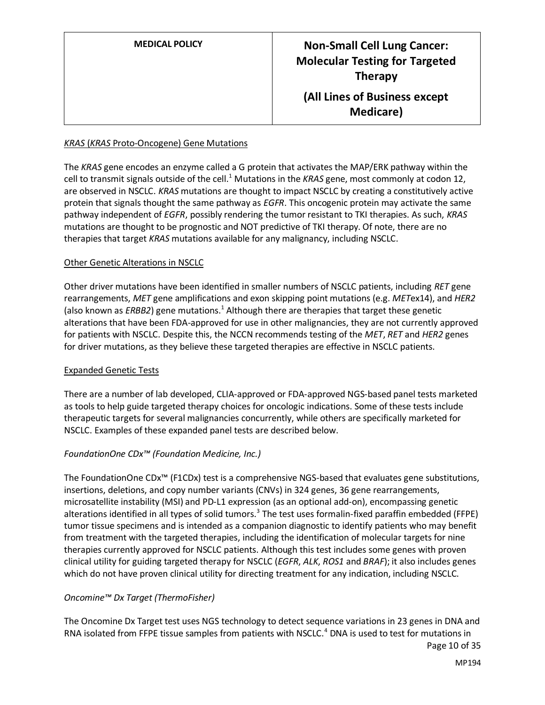| <b>MEDICAL POLICY</b> | <b>Non-Small Cell Lung Cancer:</b><br><b>Molecular Testing for Targeted</b><br><b>Therapy</b> |
|-----------------------|-----------------------------------------------------------------------------------------------|
|                       | (All Lines of Business except<br><b>Medicare</b> )                                            |

#### *KRAS* (*KRAS* Proto-Oncogene) Gene Mutations

The *KRAS* gene encodes an enzyme called a G protein that activates the MAP/ERK pathway within the cell to transmit signals outside of the cell.<sup>1</sup> Mutations in the *KRAS* gene, most commonly at codon 12, are observed in NSCLC. *KRAS* mutations are thought to impact NSCLC by creating a constitutively active protein that signals thought the same pathway as *EGFR*. This oncogenic protein may activate the same pathway independent of *EGFR*, possibly rendering the tumor resistant to TKI therapies. As such, *KRAS* mutations are thought to be prognostic and NOT predictive of TKI therapy. Of note, there are no therapies that target *KRAS* mutations available for any malignancy, including NSCLC.

#### Other Genetic Alterations in NSCLC

Other driver mutations have been identified in smaller numbers of NSCLC patients, including *RET* gene rearrangements, *MET* gene amplifications and exon skipping point mutations (e.g. *MET*ex14), and *HER2* (also known as *ERBB2*) gene mutations.<sup>1</sup> Although there are therapies that target these genetic alterations that have been FDA-approved for use in other malignancies, they are not currently approved for patients with NSCLC. Despite this, the NCCN recommends testing of the *MET*, *RET* and *HER2* genes for driver mutations, as they believe these targeted therapies are effective in NSCLC patients.

#### Expanded Genetic Tests

There are a number of lab developed, CLIA-approved or FDA-approved NGS-based panel tests marketed as tools to help guide targeted therapy choices for oncologic indications. Some of these tests include therapeutic targets for several malignancies concurrently, while others are specifically marketed for NSCLC. Examples of these expanded panel tests are described below.

#### *FoundationOne CDx™ (Foundation Medicine, Inc.)*

The FoundationOne CDx™ (F1CDx) test is a comprehensive NGS-based that evaluates gene substitutions, insertions, deletions, and copy number variants (CNVs) in 324 genes, 36 gene rearrangements, microsatellite instability (MSI) and PD-L1 expression (as an optional add-on), encompassing genetic alterations identified in all types of solid tumors.<sup>3</sup> The test uses formalin-fixed paraffin embedded (FFPE) tumor tissue specimens and is intended as a companion diagnostic to identify patients who may benefit from treatment with the targeted therapies, including the identification of molecular targets for nine therapies currently approved for NSCLC patients. Although this test includes some genes with proven clinical utility for guiding targeted therapy for NSCLC (*EGFR*, *ALK*, *ROS1* and *BRAF*); it also includes genes which do not have proven clinical utility for directing treatment for any indication, including NSCLC.

#### *Oncomine™ Dx Target (ThermoFisher)*

The Oncomine Dx Target test uses NGS technology to detect sequence variations in 23 genes in DNA and RNA isolated from FFPE tissue samples from patients with NSCLC.<sup>4</sup> DNA is used to test for mutations in

Page 10 of 35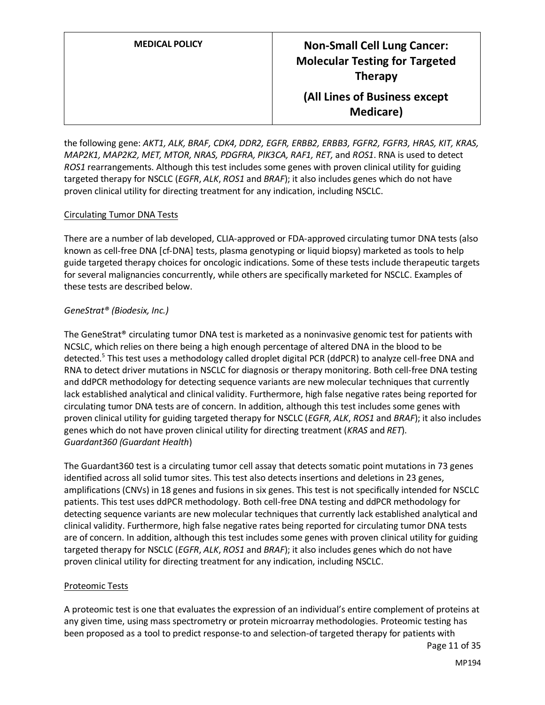| <b>MEDICAL POLICY</b> | <b>Non-Small Cell Lung Cancer:</b><br><b>Molecular Testing for Targeted</b><br><b>Therapy</b> |
|-----------------------|-----------------------------------------------------------------------------------------------|
|                       | (All Lines of Business except<br><b>Medicare</b> )                                            |

the following gene: *AKT1, ALK, BRAF, CDK4, DDR2, EGFR, ERBB2, ERBB3, FGFR2, FGFR3, HRAS, KIT, KRAS, MAP2K1, MAP2K2, MET, MTOR, NRAS, PDGFRA, PIK3CA, RAF1, RET,* and *ROS1*. RNA is used to detect *ROS1* rearrangements. Although this test includes some genes with proven clinical utility for guiding targeted therapy for NSCLC (*EGFR*, *ALK*, *ROS1* and *BRAF*); it also includes genes which do not have proven clinical utility for directing treatment for any indication, including NSCLC.

#### Circulating Tumor DNA Tests

There are a number of lab developed, CLIA-approved or FDA-approved circulating tumor DNA tests (also known as cell-free DNA [cf-DNA] tests, plasma genotyping or liquid biopsy) marketed as tools to help guide targeted therapy choices for oncologic indications. Some of these tests include therapeutic targets for several malignancies concurrently, while others are specifically marketed for NSCLC. Examples of these tests are described below.

#### *GeneStrat® (Biodesix, Inc.)*

The GeneStrat® circulating tumor DNA test is marketed as a noninvasive genomic test for patients with NCSLC, which relies on there being a high enough percentage of altered DNA in the blood to be detected.<sup>5</sup> This test uses a methodology called droplet digital PCR (ddPCR) to analyze cell-free DNA and RNA to detect driver mutations in NSCLC for diagnosis or therapy monitoring. Both cell-free DNA testing and ddPCR methodology for detecting sequence variants are new molecular techniques that currently lack established analytical and clinical validity. Furthermore, high false negative rates being reported for circulating tumor DNA tests are of concern. In addition, although this test includes some genes with proven clinical utility for guiding targeted therapy for NSCLC (*EGFR*, *ALK*, *ROS1* and *BRAF*); it also includes genes which do not have proven clinical utility for directing treatment (*KRAS* and *RET*). *Guardant360 (Guardant Health*)

The Guardant360 test is a circulating tumor cell assay that detects somatic point mutations in 73 genes identified across all solid tumor sites. This test also detects insertions and deletions in 23 genes, amplifications (CNVs) in 18 genes and fusions in six genes. This test is not specifically intended for NSCLC patients. This test uses ddPCR methodology. Both cell-free DNA testing and ddPCR methodology for detecting sequence variants are new molecular techniques that currently lack established analytical and clinical validity. Furthermore, high false negative rates being reported for circulating tumor DNA tests are of concern. In addition, although this test includes some genes with proven clinical utility for guiding targeted therapy for NSCLC (*EGFR*, *ALK*, *ROS1* and *BRAF*); it also includes genes which do not have proven clinical utility for directing treatment for any indication, including NSCLC.

#### Proteomic Tests

A proteomic test is one that evaluates the expression of an individual's entire complement of proteins at any given time, using mass spectrometry or protein microarray methodologies. Proteomic testing has been proposed as a tool to predict response-to and selection-of targeted therapy for patients with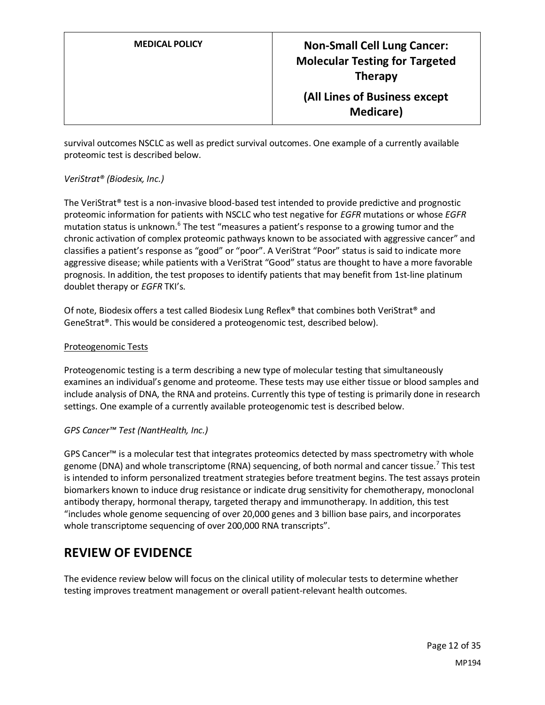survival outcomes NSCLC as well as predict survival outcomes. One example of a currently available proteomic test is described below.

#### *VeriStrat® (Biodesix, Inc.)*

The VeriStrat® test is a non-invasive blood-based test intended to provide predictive and prognostic proteomic information for patients with NSCLC who test negative for *EGFR* mutations or whose *EGFR* mutation status is unknown.<sup>6</sup> The test "measures a patient's response to a growing tumor and the chronic activation of complex proteomic pathways known to be associated with aggressive cancer" and classifies a patient's response as "good" or "poor". A VeriStrat "Poor" status is said to indicate more aggressive disease; while patients with a VeriStrat "Good" status are thought to have a more favorable prognosis. In addition, the test proposes to identify patients that may benefit from 1st-line platinum doublet therapy or *EGFR* TKI's.

Of note, Biodesix offers a test called Biodesix Lung Reflex® that combines both VeriStrat® and GeneStrat®. This would be considered a proteogenomic test, described below).

#### Proteogenomic Tests

Proteogenomic testing is a term describing a new type of molecular testing that simultaneously examines an individual's genome and proteome. These tests may use either tissue or blood samples and include analysis of DNA, the RNA and proteins. Currently this type of testing is primarily done in research settings. One example of a currently available proteogenomic test is described below.

#### *GPS Cancer™ Test (NantHealth, Inc.)*

GPS Cancer™ is a molecular test that integrates proteomics detected by mass spectrometry with whole genome (DNA) and whole transcriptome (RNA) sequencing, of both normal and cancer tissue.<sup>7</sup> This test is intended to inform personalized treatment strategies before treatment begins. The test assays protein biomarkers known to induce drug resistance or indicate drug sensitivity for chemotherapy, monoclonal antibody therapy, hormonal therapy, targeted therapy and immunotherapy. In addition, this test "includes whole genome sequencing of over 20,000 genes and 3 billion base pairs, and incorporates whole transcriptome sequencing of over 200,000 RNA transcripts".

### **REVIEW OF EVIDENCE**

The evidence review below will focus on the clinical utility of molecular tests to determine whether testing improves treatment management or overall patient-relevant health outcomes.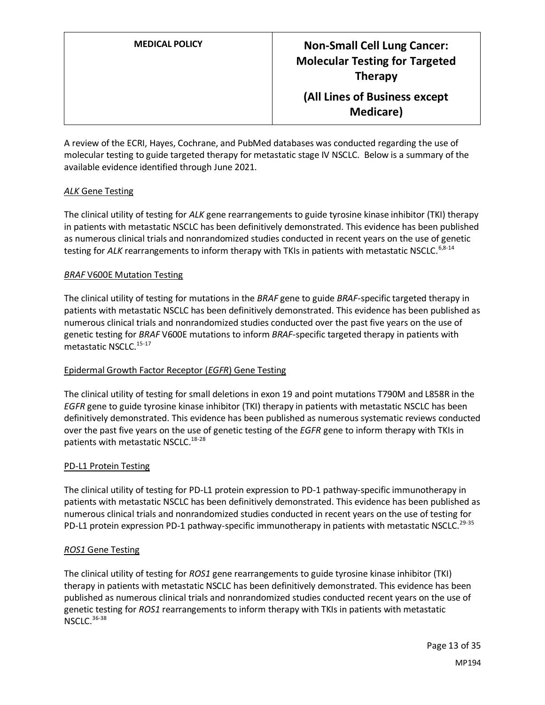A review of the ECRI, Hayes, Cochrane, and PubMed databases was conducted regarding the use of molecular testing to guide targeted therapy for metastatic stage IV NSCLC. Below is a summary of the available evidence identified through June 2021.

#### *ALK* Gene Testing

The clinical utility of testing for *ALK* gene rearrangements to guide tyrosine kinase inhibitor (TKI) therapy in patients with metastatic NSCLC has been definitively demonstrated. This evidence has been published as numerous clinical trials and nonrandomized studies conducted in recent years on the use of genetic testing for ALK rearrangements to inform therapy with TKIs in patients with metastatic NSCLC.<sup>6,8-14</sup>

#### *BRAF* V600E Mutation Testing

The clinical utility of testing for mutations in the *BRAF* gene to guide *BRAF*-specific targeted therapy in patients with metastatic NSCLC has been definitively demonstrated. This evidence has been published as numerous clinical trials and nonrandomized studies conducted over the past five years on the use of genetic testing for *BRAF* V600E mutations to inform *BRAF*-specific targeted therapy in patients with metastatic NSCLC.<sup>15-17</sup>

#### Epidermal Growth Factor Receptor (*EGFR*) Gene Testing

The clinical utility of testing for small deletions in exon 19 and point mutations T790M and L858R in the *EGFR* gene to guide tyrosine kinase inhibitor (TKI) therapy in patients with metastatic NSCLC has been definitively demonstrated. This evidence has been published as numerous systematic reviews conducted over the past five years on the use of genetic testing of the *EGFR* gene to inform therapy with TKIs in patients with metastatic NSCLC.<sup>18-28</sup>

#### PD-L1 Protein Testing

The clinical utility of testing for PD-L1 protein expression to PD-1 pathway-specific immunotherapy in patients with metastatic NSCLC has been definitively demonstrated. This evidence has been published as numerous clinical trials and nonrandomized studies conducted in recent years on the use of testing for PD-L1 protein expression PD-1 pathway-specific immunotherapy in patients with metastatic NSCLC.<sup>29-35</sup>

#### *ROS1* Gene Testing

The clinical utility of testing for *ROS1* gene rearrangements to guide tyrosine kinase inhibitor (TKI) therapy in patients with metastatic NSCLC has been definitively demonstrated. This evidence has been published as numerous clinical trials and nonrandomized studies conducted recent years on the use of genetic testing for *ROS1* rearrangements to inform therapy with TKIs in patients with metastatic  $NSC1C.$ <sup>36-38</sup>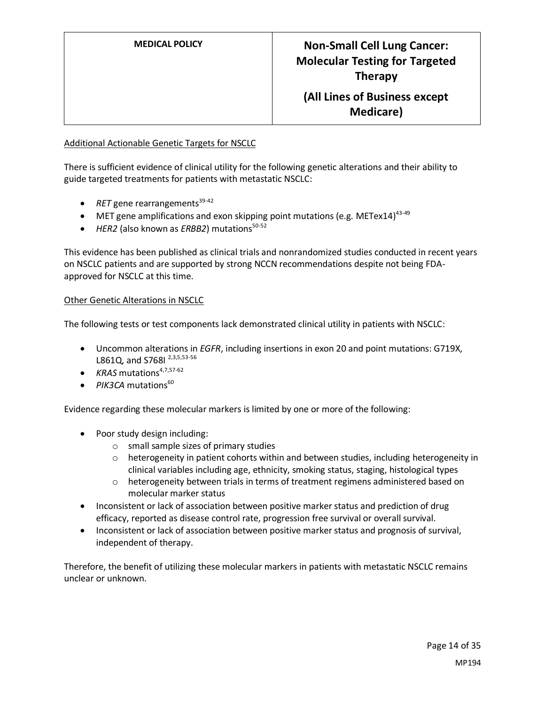#### Additional Actionable Genetic Targets for NSCLC

There is sufficient evidence of clinical utility for the following genetic alterations and their ability to guide targeted treatments for patients with metastatic NSCLC:

- $RET$  gene rearrangements<sup>39-42</sup>
- MET gene amplifications and exon skipping point mutations (e.g. METex14)<sup>43-49</sup>
- $\bullet$  *HER2* (also known as *ERBB2*) mutations<sup>50-52</sup>

This evidence has been published as clinical trials and nonrandomized studies conducted in recent years on NSCLC patients and are supported by strong NCCN recommendations despite not being FDAapproved for NSCLC at this time.

#### Other Genetic Alterations in NSCLC

The following tests or test components lack demonstrated clinical utility in patients with NSCLC:

- Uncommon alterations in *EGFR*, including insertions in exon 20 and point mutations: G719X, L861Q, and S768I 2,3,5,53-56
- $KRAS$  mutations<sup>4,7,57-62</sup>
- $\bullet$  *PIK3CA* mutations<sup>60</sup>

Evidence regarding these molecular markers is limited by one or more of the following:

- Poor study design including:
	- o small sample sizes of primary studies
	- $\circ$  heterogeneity in patient cohorts within and between studies, including heterogeneity in clinical variables including age, ethnicity, smoking status, staging, histological types
	- $\circ$  heterogeneity between trials in terms of treatment regimens administered based on molecular marker status
- Inconsistent or lack of association between positive marker status and prediction of drug efficacy, reported as disease control rate, progression free survival or overall survival.
- Inconsistent or lack of association between positive marker status and prognosis of survival, independent of therapy.

Therefore, the benefit of utilizing these molecular markers in patients with metastatic NSCLC remains unclear or unknown.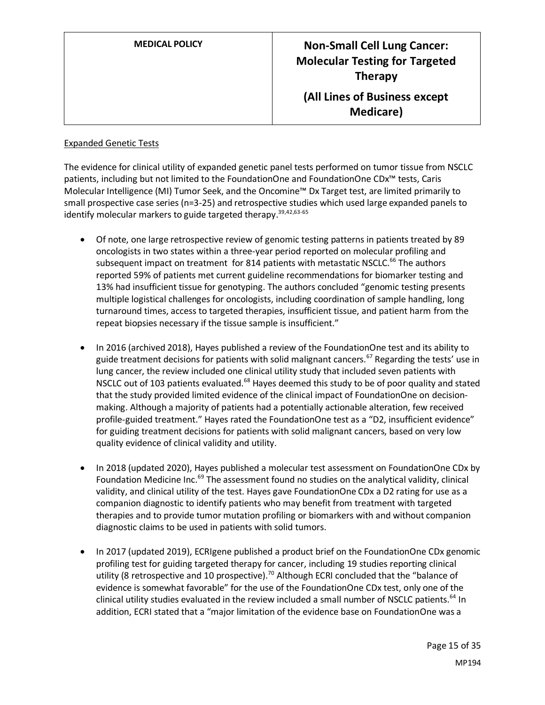| <b>MEDICAL POLICY</b> | <b>Non-Small Cell Lung Cancer:</b><br><b>Molecular Testing for Targeted</b><br><b>Therapy</b> |
|-----------------------|-----------------------------------------------------------------------------------------------|
|                       | (All Lines of Business except<br><b>Medicare</b> )                                            |

#### Expanded Genetic Tests

The evidence for clinical utility of expanded genetic panel tests performed on tumor tissue from NSCLC patients, including but not limited to the FoundationOne and FoundationOne CDx™ tests, Caris Molecular Intelligence (MI) Tumor Seek, and the Oncomine™ Dx Target test, are limited primarily to small prospective case series (n=3-25) and retrospective studies which used large expanded panels to identify molecular markers to guide targeted therapy.<sup>39,42,63-65</sup>

- Of note, one large retrospective review of genomic testing patterns in patients treated by 89 oncologists in two states within a three-year period reported on molecular profiling and subsequent impact on treatment for 814 patients with metastatic NSCLC.<sup>66</sup> The authors reported 59% of patients met current guideline recommendations for biomarker testing and 13% had insufficient tissue for genotyping. The authors concluded "genomic testing presents multiple logistical challenges for oncologists, including coordination of sample handling, long turnaround times, access to targeted therapies, insufficient tissue, and patient harm from the repeat biopsies necessary if the tissue sample is insufficient."
- In 2016 (archived 2018), Hayes published a review of the FoundationOne test and its ability to guide treatment decisions for patients with solid malignant cancers.<sup>67</sup> Regarding the tests' use in lung cancer, the review included one clinical utility study that included seven patients with NSCLC out of 103 patients evaluated.<sup>68</sup> Hayes deemed this study to be of poor quality and stated that the study provided limited evidence of the clinical impact of FoundationOne on decisionmaking. Although a majority of patients had a potentially actionable alteration, few received profile-guided treatment." Hayes rated the FoundationOne test as a "D2, insufficient evidence" for guiding treatment decisions for patients with solid malignant cancers, based on very low quality evidence of clinical validity and utility.
- In 2018 (updated 2020), Hayes published a molecular test assessment on FoundationOne CDx by Foundation Medicine Inc.<sup>69</sup> The assessment found no studies on the analytical validity, clinical validity, and clinical utility of the test. Hayes gave FoundationOne CDx a D2 rating for use as a companion diagnostic to identify patients who may benefit from treatment with targeted therapies and to provide tumor mutation profiling or biomarkers with and without companion diagnostic claims to be used in patients with solid tumors.
- In 2017 (updated 2019), ECRIgene published a product brief on the FoundationOne CDx genomic profiling test for guiding targeted therapy for cancer, including 19 studies reporting clinical utility (8 retrospective and 10 prospective).<sup>70</sup> Although ECRI concluded that the "balance of evidence is somewhat favorable" for the use of the FoundationOne CDx test, only one of the clinical utility studies evaluated in the review included a small number of NSCLC patients.<sup>64</sup> In addition, ECRI stated that a "major limitation of the evidence base on FoundationOne was a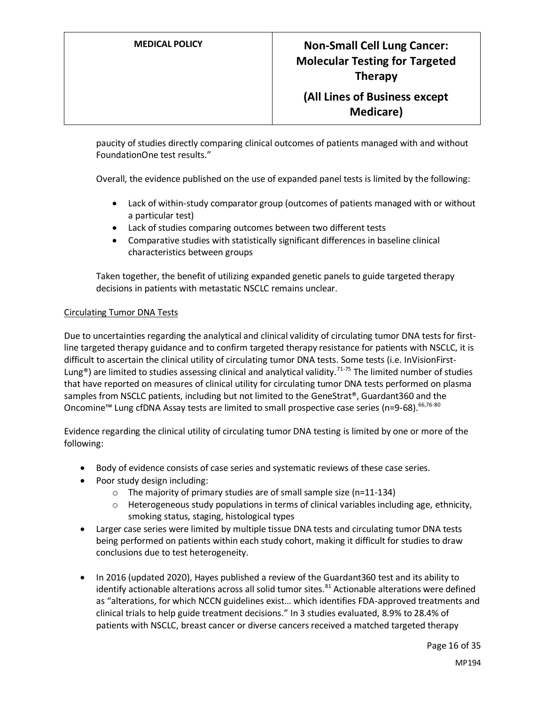paucity of studies directly comparing clinical outcomes of patients managed with and without FoundationOne test results."

Overall, the evidence published on the use of expanded panel tests is limited by the following:

- Lack of within-study comparator group (outcomes of patients managed with or without a particular test)
- Lack of studies comparing outcomes between two different tests
- Comparative studies with statistically significant differences in baseline clinical characteristics between groups

Taken together, the benefit of utilizing expanded genetic panels to guide targeted therapy decisions in patients with metastatic NSCLC remains unclear.

#### Circulating Tumor DNA Tests

Due to uncertainties regarding the analytical and clinical validity of circulating tumor DNA tests for firstline targeted therapy guidance and to confirm targeted therapy resistance for patients with NSCLC, it is difficult to ascertain the clinical utility of circulating tumor DNA tests. Some tests (i.e. InVisionFirst-Lung<sup>®</sup>) are limited to studies assessing clinical and analytical validity.<sup>71-75</sup> The limited number of studies that have reported on measures of clinical utility for circulating tumor DNA tests performed on plasma samples from NSCLC patients, including but not limited to the GeneStrat®, Guardant360 and the Oncomine<sup>™</sup> Lung cfDNA Assay tests are limited to small prospective case series (n=9-68).<sup>66,76-80</sup>

Evidence regarding the clinical utility of circulating tumor DNA testing is limited by one or more of the following:

- Body of evidence consists of case series and systematic reviews of these case series.
- Poor study design including:
	- o The majority of primary studies are of small sample size (n=11-134)
	- $\circ$  Heterogeneous study populations in terms of clinical variables including age, ethnicity, smoking status, staging, histological types
- Larger case series were limited by multiple tissue DNA tests and circulating tumor DNA tests being performed on patients within each study cohort, making it difficult for studies to draw conclusions due to test heterogeneity.
- In 2016 (updated 2020), Hayes published a review of the Guardant360 test and its ability to identify actionable alterations across all solid tumor sites. $81$  Actionable alterations were defined as "alterations, for which NCCN guidelines exist… which identifies FDA-approved treatments and clinical trials to help guide treatment decisions." In 3 studies evaluated, 8.9% to 28.4% of patients with NSCLC, breast cancer or diverse cancers received a matched targeted therapy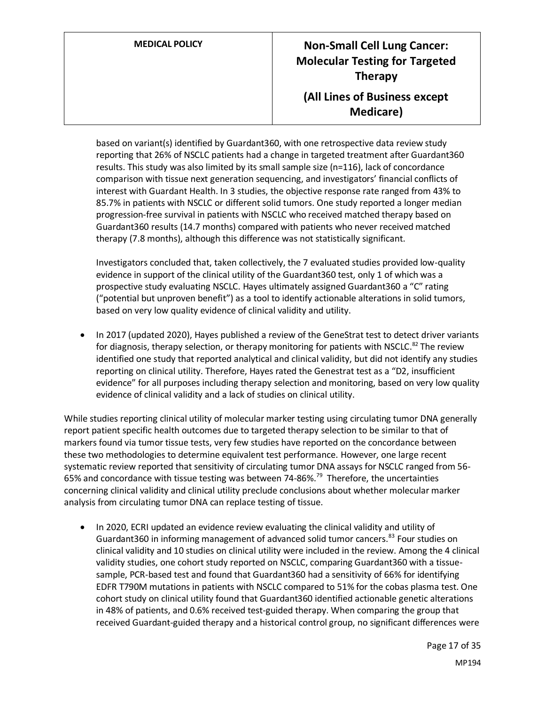based on variant(s) identified by Guardant360, with one retrospective data review study reporting that 26% of NSCLC patients had a change in targeted treatment after Guardant360 results. This study was also limited by its small sample size (n=116), lack of concordance comparison with tissue next generation sequencing, and investigators' financial conflicts of interest with Guardant Health. In 3 studies, the objective response rate ranged from 43% to 85.7% in patients with NSCLC or different solid tumors. One study reported a longer median progression-free survival in patients with NSCLC who received matched therapy based on Guardant360 results (14.7 months) compared with patients who never received matched therapy (7.8 months), although this difference was not statistically significant.

Investigators concluded that, taken collectively, the 7 evaluated studies provided low-quality evidence in support of the clinical utility of the Guardant360 test, only 1 of which was a prospective study evaluating NSCLC. Hayes ultimately assigned Guardant360 a "C" rating ("potential but unproven benefit") as a tool to identify actionable alterations in solid tumors, based on very low quality evidence of clinical validity and utility.

• In 2017 (updated 2020), Hayes published a review of the GeneStrat test to detect driver variants for diagnosis, therapy selection, or therapy monitoring for patients with NSCLC. $^{82}$  The review identified one study that reported analytical and clinical validity, but did not identify any studies reporting on clinical utility. Therefore, Hayes rated the Genestrat test as a "D2, insufficient evidence" for all purposes including therapy selection and monitoring, based on very low quality evidence of clinical validity and a lack of studies on clinical utility.

While studies reporting clinical utility of molecular marker testing using circulating tumor DNA generally report patient specific health outcomes due to targeted therapy selection to be similar to that of markers found via tumor tissue tests, very few studies have reported on the concordance between these two methodologies to determine equivalent test performance. However, one large recent systematic review reported that sensitivity of circulating tumor DNA assays for NSCLC ranged from 56- 65% and concordance with tissue testing was between 74-86%.<sup>79</sup> Therefore, the uncertainties concerning clinical validity and clinical utility preclude conclusions about whether molecular marker analysis from circulating tumor DNA can replace testing of tissue.

• In 2020, ECRI updated an evidence review evaluating the clinical validity and utility of Guardant360 in informing management of advanced solid tumor cancers.<sup>83</sup> Four studies on clinical validity and 10 studies on clinical utility were included in the review. Among the 4 clinical validity studies, one cohort study reported on NSCLC, comparing Guardant360 with a tissuesample, PCR-based test and found that Guardant360 had a sensitivity of 66% for identifying EDFR T790M mutations in patients with NSCLC compared to 51% for the cobas plasma test. One cohort study on clinical utility found that Guardant360 identified actionable genetic alterations in 48% of patients, and 0.6% received test-guided therapy. When comparing the group that received Guardant-guided therapy and a historical control group, no significant differences were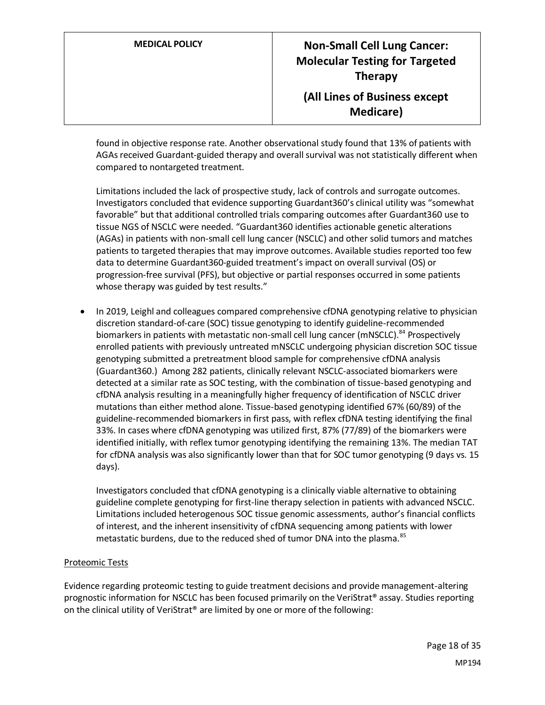found in objective response rate. Another observational study found that 13% of patients with AGAs received Guardant-guided therapy and overall survival was not statistically different when compared to nontargeted treatment.

Limitations included the lack of prospective study, lack of controls and surrogate outcomes. Investigators concluded that evidence supporting Guardant360's clinical utility was "somewhat favorable" but that additional controlled trials comparing outcomes after Guardant360 use to tissue NGS of NSCLC were needed. "Guardant360 identifies actionable genetic alterations (AGAs) in patients with non-small cell lung cancer (NSCLC) and other solid tumors and matches patients to targeted therapies that may improve outcomes. Available studies reported too few data to determine Guardant360-guided treatment's impact on overall survival (OS) or progression-free survival (PFS), but objective or partial responses occurred in some patients whose therapy was guided by test results."

• In 2019, Leighl and colleagues compared comprehensive cfDNA genotyping relative to physician discretion standard-of-care (SOC) tissue genotyping to identify guideline-recommended biomarkers in patients with metastatic non-small cell lung cancer (mNSCLC).<sup>84</sup> Prospectively enrolled patients with previously untreated mNSCLC undergoing physician discretion SOC tissue genotyping submitted a pretreatment blood sample for comprehensive cfDNA analysis (Guardant360.) Among 282 patients, clinically relevant NSCLC-associated biomarkers were detected at a similar rate as SOC testing, with the combination of tissue-based genotyping and cfDNA analysis resulting in a meaningfully higher frequency of identification of NSCLC driver mutations than either method alone. Tissue-based genotyping identified 67% (60/89) of the guideline-recommended biomarkers in first pass, with reflex cfDNA testing identifying the final 33%. In cases where cfDNA genotyping was utilized first, 87% (77/89) of the biomarkers were identified initially, with reflex tumor genotyping identifying the remaining 13%. The median TAT for cfDNA analysis was also significantly lower than that for SOC tumor genotyping (9 days vs. 15 days).

Investigators concluded that cfDNA genotyping is a clinically viable alternative to obtaining guideline complete genotyping for first-line therapy selection in patients with advanced NSCLC. Limitations included heterogenous SOC tissue genomic assessments, author's financial conflicts of interest, and the inherent insensitivity of cfDNA sequencing among patients with lower metastatic burdens, due to the reduced shed of tumor DNA into the plasma.<sup>85</sup>

#### Proteomic Tests

Evidence regarding proteomic testing to guide treatment decisions and provide management-altering prognostic information for NSCLC has been focused primarily on the VeriStrat® assay. Studies reporting on the clinical utility of VeriStrat® are limited by one or more of the following: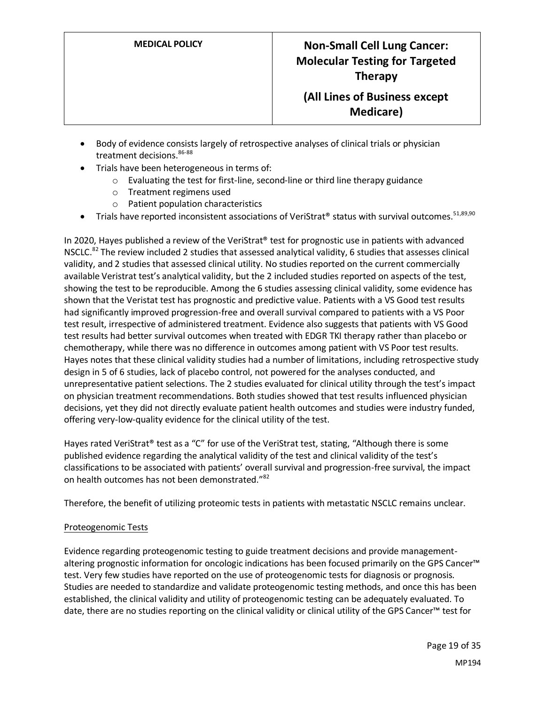- Body of evidence consists largely of retrospective analyses of clinical trials or physician treatment decisions. 86-88
- Trials have been heterogeneous in terms of:
	- o Evaluating the test for first-line, second-line or third line therapy guidance
	- o Treatment regimens used
	- o Patient population characteristics
- Trials have reported inconsistent associations of VeriStrat® status with survival outcomes.  $51,89,90$

In 2020, Hayes published a review of the VeriStrat<sup>®</sup> test for prognostic use in patients with advanced NSCLC.<sup>82</sup> The review included 2 studies that assessed analytical validity, 6 studies that assesses clinical validity, and 2 studies that assessed clinical utility. No studies reported on the current commercially available Veristrat test's analytical validity, but the 2 included studies reported on aspects of the test, showing the test to be reproducible. Among the 6 studies assessing clinical validity, some evidence has shown that the Veristat test has prognostic and predictive value. Patients with a VS Good test results had significantly improved progression-free and overall survival compared to patients with a VS Poor test result, irrespective of administered treatment. Evidence also suggests that patients with VS Good test results had better survival outcomes when treated with EDGR TKI therapy rather than placebo or chemotherapy, while there was no difference in outcomes among patient with VS Poor test results. Hayes notes that these clinical validity studies had a number of limitations, including retrospective study design in 5 of 6 studies, lack of placebo control, not powered for the analyses conducted, and unrepresentative patient selections. The 2 studies evaluated for clinical utility through the test's impact on physician treatment recommendations. Both studies showed that test results influenced physician decisions, yet they did not directly evaluate patient health outcomes and studies were industry funded, offering very-low-quality evidence for the clinical utility of the test.

Hayes rated VeriStrat® test as a "C" for use of the VeriStrat test, stating, "Although there is some published evidence regarding the analytical validity of the test and clinical validity of the test's classifications to be associated with patients' overall survival and progression-free survival, the impact on health outcomes has not been demonstrated."<sup>82</sup>

Therefore, the benefit of utilizing proteomic tests in patients with metastatic NSCLC remains unclear.

#### Proteogenomic Tests

Evidence regarding proteogenomic testing to guide treatment decisions and provide managementaltering prognostic information for oncologic indications has been focused primarily on the GPS Cancer™ test. Very few studies have reported on the use of proteogenomic tests for diagnosis or prognosis. Studies are needed to standardize and validate proteogenomic testing methods, and once this has been established, the clinical validity and utility of proteogenomic testing can be adequately evaluated. To date, there are no studies reporting on the clinical validity or clinical utility of the GPS Cancer™ test for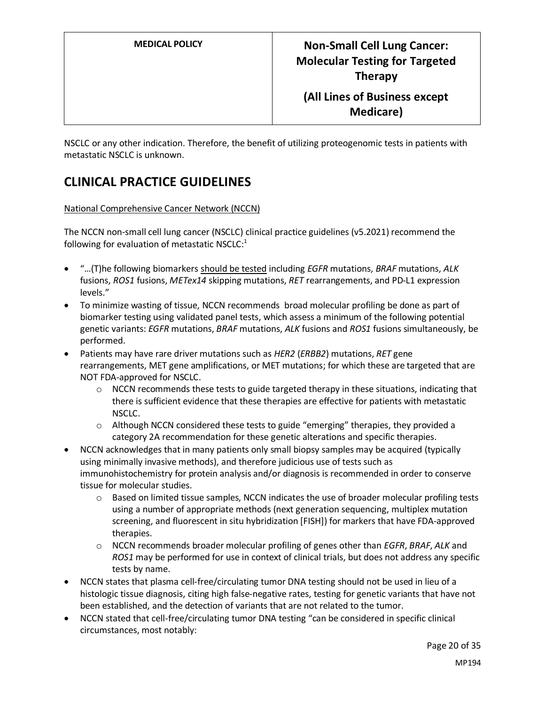NSCLC or any other indication. Therefore, the benefit of utilizing proteogenomic tests in patients with metastatic NSCLC is unknown.

## **CLINICAL PRACTICE GUIDELINES**

National Comprehensive Cancer Network (NCCN)

The NCCN non-small cell lung cancer (NSCLC) clinical practice guidelines (v5.2021) recommend the following for evaluation of metastatic NSCLC:<sup>1</sup>

- "…(T)he following biomarkers should be tested including *EGFR* mutations, *BRAF* mutations, *ALK* fusions, *ROS1* fusions, *METex14* skipping mutations, *RET* rearrangements, and PD-L1 expression levels."
- To minimize wasting of tissue, NCCN recommends broad molecular profiling be done as part of biomarker testing using validated panel tests, which assess a minimum of the following potential genetic variants: *EGFR* mutations, *BRAF* mutations, *ALK* fusions and *ROS1* fusions simultaneously, be performed.
- Patients may have rare driver mutations such as *HER2* (*ERBB2*) mutations, *RET* gene rearrangements, MET gene amplifications, or MET mutations; for which these are targeted that are NOT FDA-approved for NSCLC.
	- $\circ$  NCCN recommends these tests to guide targeted therapy in these situations, indicating that there is sufficient evidence that these therapies are effective for patients with metastatic NSCLC.
	- o Although NCCN considered these tests to guide "emerging" therapies, they provided a category 2A recommendation for these genetic alterations and specific therapies.
- NCCN acknowledges that in many patients only small biopsy samples may be acquired (typically using minimally invasive methods), and therefore judicious use of tests such as immunohistochemistry for protein analysis and/or diagnosis is recommended in order to conserve tissue for molecular studies.
	- o Based on limited tissue samples, NCCN indicates the use of broader molecular profiling tests using a number of appropriate methods (next generation sequencing, multiplex mutation screening, and fluorescent in situ hybridization [FISH]) for markers that have FDA-approved therapies.
	- o NCCN recommends broader molecular profiling of genes other than *EGFR*, *BRAF*, *ALK* and *ROS1* may be performed for use in context of clinical trials, but does not address any specific tests by name.
- NCCN states that plasma cell-free/circulating tumor DNA testing should not be used in lieu of a histologic tissue diagnosis, citing high false-negative rates, testing for genetic variants that have not been established, and the detection of variants that are not related to the tumor.
- NCCN stated that cell-free/circulating tumor DNA testing "can be considered in specific clinical circumstances, most notably: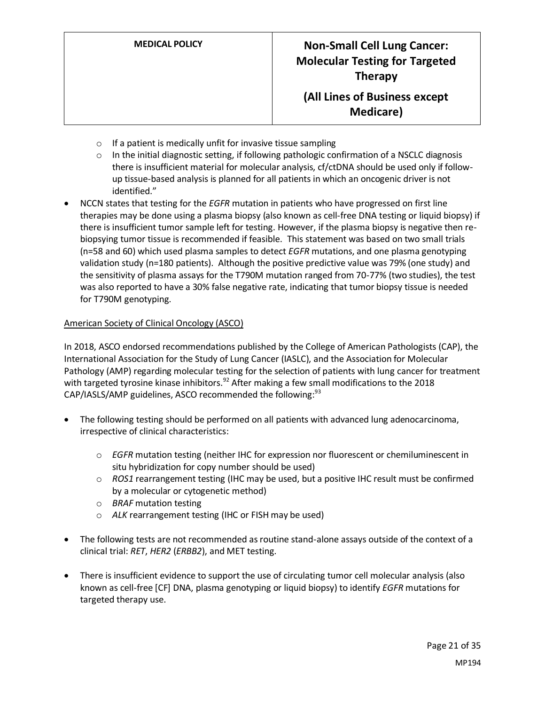- $\circ$  If a patient is medically unfit for invasive tissue sampling
- $\circ$  In the initial diagnostic setting, if following pathologic confirmation of a NSCLC diagnosis there is insufficient material for molecular analysis, cf/ctDNA should be used only if followup tissue-based analysis is planned for all patients in which an oncogenic driver is not identified."
- NCCN states that testing for the *EGFR* mutation in patients who have progressed on first line therapies may be done using a plasma biopsy (also known as cell-free DNA testing or liquid biopsy) if there is insufficient tumor sample left for testing. However, if the plasma biopsy is negative then rebiopsying tumor tissue is recommended if feasible. This statement was based on two small trials (n=58 and 60) which used plasma samples to detect *EGFR* mutations, and one plasma genotyping validation study (n=180 patients). Although the positive predictive value was 79% (one study) and the sensitivity of plasma assays for the T790M mutation ranged from 70-77% (two studies), the test was also reported to have a 30% false negative rate, indicating that tumor biopsy tissue is needed for T790M genotyping.

#### American Society of Clinical Oncology (ASCO)

In 2018, ASCO endorsed recommendations published by the College of American Pathologists (CAP), the International Association for the Study of Lung Cancer (IASLC), and the Association for Molecular Pathology (AMP) regarding molecular testing for the selection of patients with lung cancer for treatment with targeted tyrosine kinase inhibitors.<sup>92</sup> After making a few small modifications to the 2018 CAP/IASLS/AMP guidelines, ASCO recommended the following:<sup>93</sup>

- The following testing should be performed on all patients with advanced lung adenocarcinoma, irrespective of clinical characteristics:
	- o *EGFR* mutation testing (neither IHC for expression nor fluorescent or chemiluminescent in situ hybridization for copy number should be used)
	- o *ROS1* rearrangement testing (IHC may be used, but a positive IHC result must be confirmed by a molecular or cytogenetic method)
	- o *BRAF* mutation testing
	- o *ALK* rearrangement testing (IHC or FISH may be used)
- The following tests are not recommended as routine stand-alone assays outside of the context of a clinical trial: *RET*, *HER2* (*ERBB2*), and MET testing.
- <span id="page-20-0"></span>• There is insufficient evidence to support the use of circulating tumor cell molecular analysis (also known as cell-free [CF] DNA, plasma genotyping or liquid biopsy) to identify *EGFR* mutations for targeted therapy use.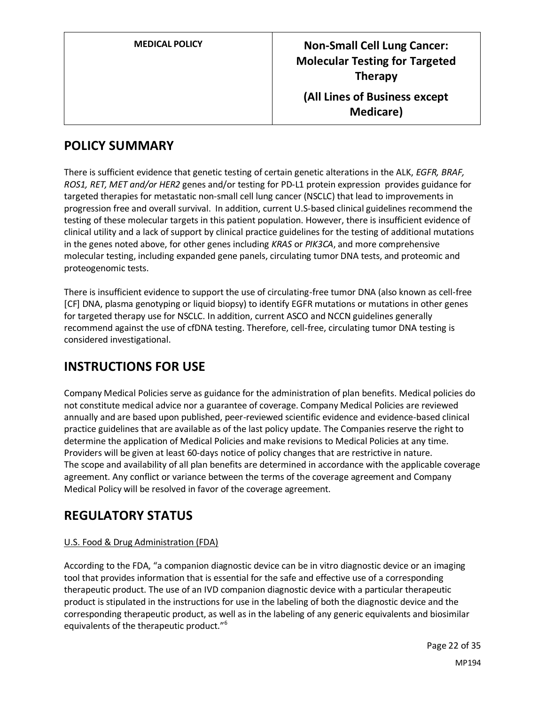| <b>MEDICAL POLICY</b> | <b>Non-Small Cell Lung Cancer:</b><br><b>Molecular Testing for Targeted</b><br><b>Therapy</b> |
|-----------------------|-----------------------------------------------------------------------------------------------|
|                       | (All Lines of Business except<br><b>Medicare</b> )                                            |

### **POLICY SUMMARY**

There is sufficient evidence that genetic testing of certain genetic alterations in the ALK, *EGFR, BRAF, ROS1, RET, MET and/or HER2* genes and/or testing for PD-L1 protein expression provides guidance for targeted therapies for metastatic non-small cell lung cancer (NSCLC) that lead to improvements in progression free and overall survival. In addition, current U.S-based clinical guidelines recommend the testing of these molecular targets in this patient population. However, there is insufficient evidence of clinical utility and a lack of support by clinical practice guidelines for the testing of additional mutations in the genes noted above, for other genes including *KRAS* or *PIK3CA*, and more comprehensive molecular testing, including expanded gene panels, circulating tumor DNA tests, and proteomic and proteogenomic tests.

There is insufficient evidence to support the use of circulating-free tumor DNA (also known as cell-free [CF] DNA, plasma genotyping or liquid biopsy) to identify EGFR mutations or mutations in other genes for targeted therapy use for NSCLC. In addition, current ASCO and NCCN guidelines generally recommend against the use of cfDNA testing. Therefore, cell-free, circulating tumor DNA testing is considered investigational.

### **INSTRUCTIONS FOR USE**

Company Medical Policies serve as guidance for the administration of plan benefits. Medical policies do not constitute medical advice nor a guarantee of coverage. Company Medical Policies are reviewed annually and are based upon published, peer-reviewed scientific evidence and evidence-based clinical practice guidelines that are available as of the last policy update. The Companies reserve the right to determine the application of Medical Policies and make revisions to Medical Policies at any time. Providers will be given at least 60-days notice of policy changes that are restrictive in nature. The scope and availability of all plan benefits are determined in accordance with the applicable coverage agreement. Any conflict or variance between the terms of the coverage agreement and Company Medical Policy will be resolved in favor of the coverage agreement.

### **REGULATORY STATUS**

### U.S. Food & Drug Administration (FDA)

According to the FDA, "a companion diagnostic device can be in vitro diagnostic device or an imaging tool that provides information that is essential for the safe and effective use of a corresponding therapeutic product. The use of an IVD companion diagnostic device with a particular therapeutic product is stipulated in the instructions for use in the labeling of both the diagnostic device and the corresponding therapeutic product, as well as in the labeling of any generic equivalents and biosimilar equivalents of the therapeutic product."<sup>6</sup>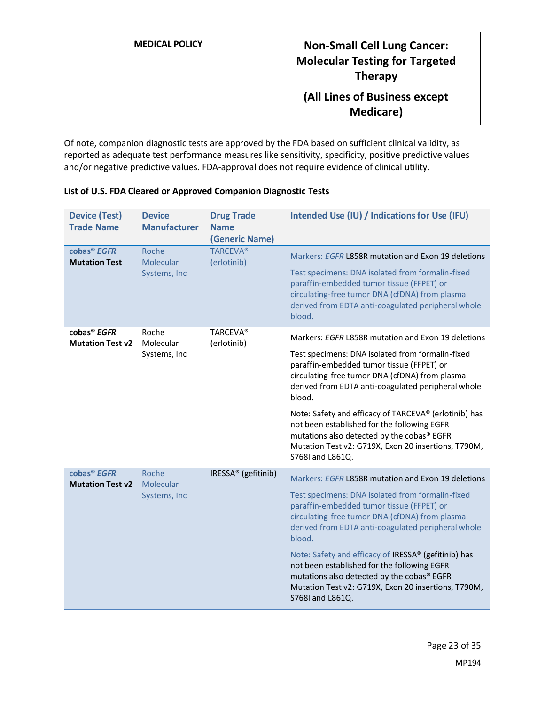| <b>MEDICAL POLICY</b> | <b>Non-Small Cell Lung Cancer:</b><br><b>Molecular Testing for Targeted</b><br><b>Therapy</b> |
|-----------------------|-----------------------------------------------------------------------------------------------|
|                       | (All Lines of Business except<br><b>Medicare</b> )                                            |

Of note, companion diagnostic tests are approved by the FDA based on sufficient clinical validity, as reported as adequate test performance measures like sensitivity, specificity, positive predictive values and/or negative predictive values. FDA-approval does not require evidence of clinical utility.

| <b>Device (Test)</b><br><b>Trade Name</b>          | <b>Device</b><br><b>Manufacturer</b> | <b>Drug Trade</b><br><b>Name</b><br>(Generic Name) | Intended Use (IU) / Indications for Use (IFU)                                                                                                                                                                                 |
|----------------------------------------------------|--------------------------------------|----------------------------------------------------|-------------------------------------------------------------------------------------------------------------------------------------------------------------------------------------------------------------------------------|
| cobas <sup>®</sup> EGFR<br><b>Mutation Test</b>    | Roche<br>Molecular<br>Systems, Inc   | <b>TARCEVA®</b><br>(erlotinib)                     | Markers: EGFR L858R mutation and Exon 19 deletions<br>Test specimens: DNA isolated from formalin-fixed<br>paraffin-embedded tumor tissue (FFPET) or                                                                           |
|                                                    |                                      |                                                    | circulating-free tumor DNA (cfDNA) from plasma<br>derived from EDTA anti-coagulated peripheral whole<br>blood.                                                                                                                |
| cobas <sup>®</sup> EGFR<br><b>Mutation Test v2</b> | Roche<br>Molecular<br>Systems, Inc   | <b>TARCEVA®</b><br>(erlotinib)                     | Markers: EGFR L858R mutation and Exon 19 deletions                                                                                                                                                                            |
|                                                    |                                      |                                                    | Test specimens: DNA isolated from formalin-fixed<br>paraffin-embedded tumor tissue (FFPET) or<br>circulating-free tumor DNA (cfDNA) from plasma<br>derived from EDTA anti-coagulated peripheral whole<br>blood.               |
|                                                    |                                      |                                                    | Note: Safety and efficacy of TARCEVA® (erlotinib) has<br>not been established for the following EGFR<br>mutations also detected by the cobas® EGFR<br>Mutation Test v2: G719X, Exon 20 insertions, T790M,<br>S768I and L861Q. |
| cobas <sup>®</sup> EGFR<br><b>Mutation Test v2</b> | Roche<br>Molecular                   | IRESSA <sup>®</sup> (gefitinib)                    | Markers: EGFR L858R mutation and Exon 19 deletions                                                                                                                                                                            |
|                                                    | Systems, Inc                         |                                                    | Test specimens: DNA isolated from formalin-fixed<br>paraffin-embedded tumor tissue (FFPET) or<br>circulating-free tumor DNA (cfDNA) from plasma<br>derived from EDTA anti-coagulated peripheral whole<br>blood.               |
|                                                    |                                      |                                                    | Note: Safety and efficacy of IRESSA® (gefitinib) has<br>not been established for the following EGFR<br>mutations also detected by the cobas® EGFR<br>Mutation Test v2: G719X, Exon 20 insertions, T790M,<br>S768I and L861Q.  |

**List of U.S. FDA Cleared or Approved Companion Diagnostic Tests**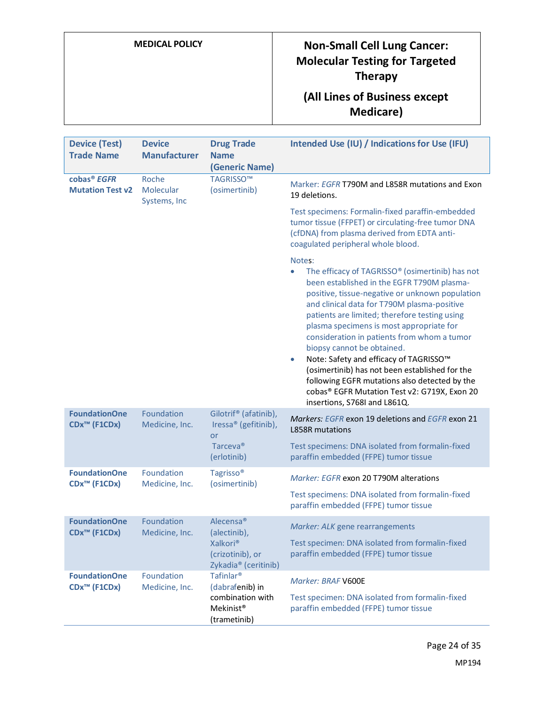# **MEDICAL POLICY Non-Small Cell Lung Cancer: Molecular Testing for Targeted Therapy**

## **(All Lines of Business except Medicare)**

| <b>Device (Test)</b><br><b>Trade Name</b>          | <b>Device</b><br><b>Manufacturer</b> | <b>Drug Trade</b><br><b>Name</b><br>(Generic Name)                                                                    | Intended Use (IU) / Indications for Use (IFU)                                                                                                                                                                                                                                                                                                                                                                                                                                                                                                                                                                                                          |
|----------------------------------------------------|--------------------------------------|-----------------------------------------------------------------------------------------------------------------------|--------------------------------------------------------------------------------------------------------------------------------------------------------------------------------------------------------------------------------------------------------------------------------------------------------------------------------------------------------------------------------------------------------------------------------------------------------------------------------------------------------------------------------------------------------------------------------------------------------------------------------------------------------|
| cobas <sup>®</sup> EGFR<br><b>Mutation Test v2</b> | Roche<br>Molecular<br>Systems, Inc   | TAGRISSO™<br>(osimertinib)                                                                                            | Marker: <i>EGFR</i> T790M and L858R mutations and Exon<br>19 deletions.                                                                                                                                                                                                                                                                                                                                                                                                                                                                                                                                                                                |
|                                                    |                                      |                                                                                                                       | Test specimens: Formalin-fixed paraffin-embedded<br>tumor tissue (FFPET) or circulating-free tumor DNA<br>(cfDNA) from plasma derived from EDTA anti-<br>coagulated peripheral whole blood.                                                                                                                                                                                                                                                                                                                                                                                                                                                            |
|                                                    |                                      |                                                                                                                       | Notes:<br>The efficacy of TAGRISSO <sup>®</sup> (osimertinib) has not<br>$\bullet$<br>been established in the EGFR T790M plasma-<br>positive, tissue-negative or unknown population<br>and clinical data for T790M plasma-positive<br>patients are limited; therefore testing using<br>plasma specimens is most appropriate for<br>consideration in patients from whom a tumor<br>biopsy cannot be obtained.<br>Note: Safety and efficacy of TAGRISSO™<br>$\bullet$<br>(osimertinib) has not been established for the<br>following EGFR mutations also detected by the<br>cobas® EGFR Mutation Test v2: G719X, Exon 20<br>insertions, S768I and L861Q. |
| <b>FoundationOne</b><br>CDx <sup>™</sup> (F1CDx)   | Foundation<br>Medicine, Inc.         | Gilotrif <sup>®</sup> (afatinib),<br>Iressa® (gefitinib),<br>or                                                       | Markers: EGFR exon 19 deletions and EGFR exon 21<br><b>L858R mutations</b>                                                                                                                                                                                                                                                                                                                                                                                                                                                                                                                                                                             |
|                                                    |                                      | Tarceva <sup>®</sup><br>(erlotinib)                                                                                   | Test specimens: DNA isolated from formalin-fixed<br>paraffin embedded (FFPE) tumor tissue                                                                                                                                                                                                                                                                                                                                                                                                                                                                                                                                                              |
| <b>FoundationOne</b><br>CDx <sup>™</sup> (F1CDx)   | Foundation<br>Medicine, Inc.         | Tagrisso <sup>®</sup><br>(osimertinib)                                                                                | Marker: EGFR exon 20 T790M alterations                                                                                                                                                                                                                                                                                                                                                                                                                                                                                                                                                                                                                 |
|                                                    |                                      |                                                                                                                       | Test specimens: DNA isolated from formalin-fixed<br>paraffin embedded (FFPE) tumor tissue                                                                                                                                                                                                                                                                                                                                                                                                                                                                                                                                                              |
| <b>FoundationOne</b><br>CDx <sup>™</sup> (F1CDx)   | Foundation<br>Medicine, Inc.         | Alecensa <sup>®</sup><br>(alectinib),<br>Xalkori <sup>®</sup><br>(crizotinib), or<br>Zykadia <sup>®</sup> (ceritinib) | Marker: ALK gene rearrangements<br>Test specimen: DNA isolated from formalin-fixed<br>paraffin embedded (FFPE) tumor tissue                                                                                                                                                                                                                                                                                                                                                                                                                                                                                                                            |
| <b>FoundationOne</b><br>CDx <sup>™</sup> (F1CDx)   | Foundation<br>Medicine, Inc.         | Tafinlar <sup>®</sup><br>(dabrafenib) in<br>combination with<br>Mekinist <sup>®</sup><br>(trametinib)                 | Marker: BRAF V600E<br>Test specimen: DNA isolated from formalin-fixed<br>paraffin embedded (FFPE) tumor tissue                                                                                                                                                                                                                                                                                                                                                                                                                                                                                                                                         |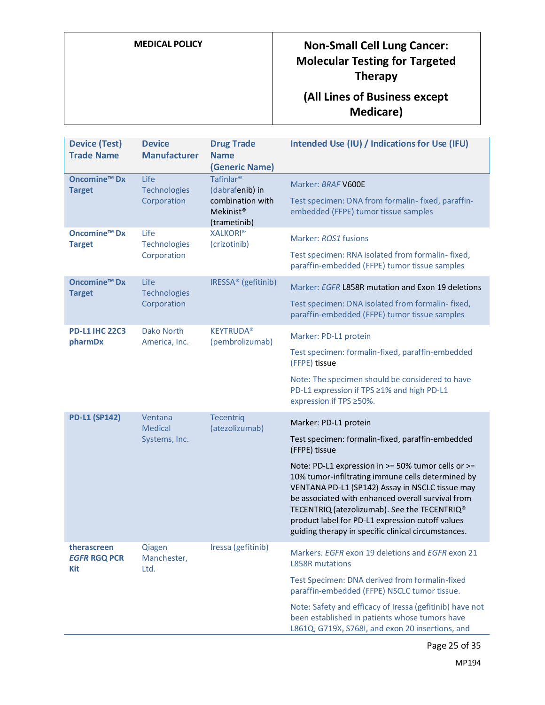# **MEDICAL POLICY Non-Small Cell Lung Cancer: Molecular Testing for Targeted Therapy**

## **(All Lines of Business except Medicare)**

| <b>Device (Test)</b><br><b>Trade Name</b>       | <b>Device</b><br><b>Manufacturer</b>       | <b>Drug Trade</b><br><b>Name</b><br>(Generic Name)                                                    | Intended Use (IU) / Indications for Use (IFU)                                                                                                                                                                                                                                                                                                                                                                                                                            |
|-------------------------------------------------|--------------------------------------------|-------------------------------------------------------------------------------------------------------|--------------------------------------------------------------------------------------------------------------------------------------------------------------------------------------------------------------------------------------------------------------------------------------------------------------------------------------------------------------------------------------------------------------------------------------------------------------------------|
| <b>Oncomine<sup>™</sup> Dx</b><br><b>Target</b> | Life<br>Technologies<br>Corporation        | Tafinlar <sup>®</sup><br>(dabrafenib) in<br>combination with<br>Mekinist <sup>®</sup><br>(trametinib) | Marker: BRAF V600E<br>Test specimen: DNA from formalin- fixed, paraffin-<br>embedded (FFPE) tumor tissue samples                                                                                                                                                                                                                                                                                                                                                         |
| <b>Oncomine<sup>™</sup> Dx</b><br><b>Target</b> | Life<br>Technologies<br>Corporation        | <b>XALKORI®</b><br>(crizotinib)                                                                       | Marker: ROS1 fusions<br>Test specimen: RNA isolated from formalin-fixed,<br>paraffin-embedded (FFPE) tumor tissue samples                                                                                                                                                                                                                                                                                                                                                |
| <b>Oncomine™ Dx</b><br><b>Target</b>            | Life<br><b>Technologies</b><br>Corporation | IRESSA <sup>®</sup> (gefitinib)                                                                       | Marker: EGFR L858R mutation and Exon 19 deletions<br>Test specimen: DNA isolated from formalin-fixed,<br>paraffin-embedded (FFPE) tumor tissue samples                                                                                                                                                                                                                                                                                                                   |
| <b>PD-L1 IHC 22C3</b><br>pharmDx                | <b>Dako North</b><br>America, Inc.         | <b>KEYTRUDA®</b><br>(pembrolizumab)                                                                   | Marker: PD-L1 protein<br>Test specimen: formalin-fixed, paraffin-embedded<br>(FFPE) tissue<br>Note: The specimen should be considered to have<br>PD-L1 expression if TPS ≥1% and high PD-L1<br>expression if TPS ≥50%.                                                                                                                                                                                                                                                   |
| <b>PD-L1 (SP142)</b>                            | Ventana<br><b>Medical</b><br>Systems, Inc. | <b>Tecentriq</b><br>(atezolizumab)                                                                    | Marker: PD-L1 protein<br>Test specimen: formalin-fixed, paraffin-embedded<br>(FFPE) tissue<br>Note: PD-L1 expression in >= 50% tumor cells or >=<br>10% tumor-infiltrating immune cells determined by<br>VENTANA PD-L1 (SP142) Assay in NSCLC tissue may<br>be associated with enhanced overall survival from<br>TECENTRIQ (atezolizumab). See the TECENTRIQ®<br>product label for PD-L1 expression cutoff values<br>guiding therapy in specific clinical circumstances. |
| therascreen<br><b>EGFR RGQ PCR</b><br>Kit       | Qiagen<br>Manchester,<br>Ltd.              | Iressa (gefitinib)                                                                                    | Markers: EGFR exon 19 deletions and EGFR exon 21<br><b>L858R mutations</b><br>Test Specimen: DNA derived from formalin-fixed<br>paraffin-embedded (FFPE) NSCLC tumor tissue.<br>Note: Safety and efficacy of Iressa (gefitinib) have not<br>been established in patients whose tumors have<br>L861Q, G719X, S768I, and exon 20 insertions, and                                                                                                                           |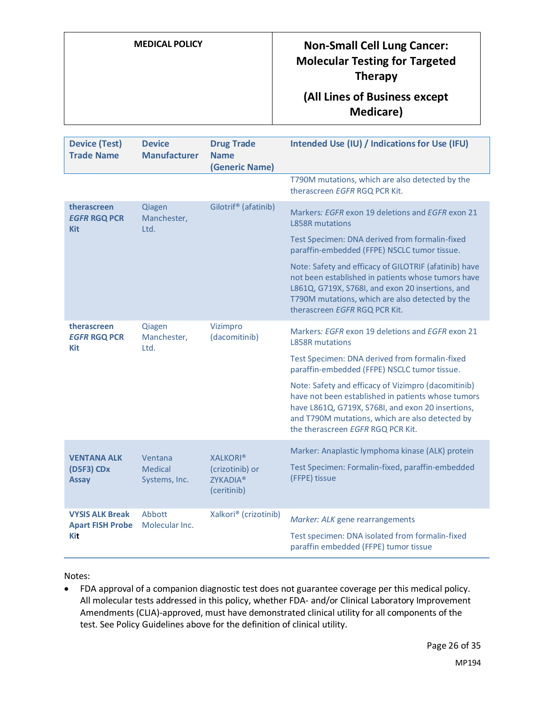# **MEDICAL POLICY READING POLICY POLICY PROPERTY Molecular Testing for Targeted Therapy**

### **(All Lines of Business except Medicare)**

| <b>Device (Test)</b><br><b>Trade Name</b>                | <b>Device</b><br><b>Manufacturer</b>       | <b>Drug Trade</b><br><b>Name</b><br>(Generic Name)                   | Intended Use (IU) / Indications for Use (IFU)                                                                                                                                                                                                          |
|----------------------------------------------------------|--------------------------------------------|----------------------------------------------------------------------|--------------------------------------------------------------------------------------------------------------------------------------------------------------------------------------------------------------------------------------------------------|
|                                                          |                                            |                                                                      | T790M mutations, which are also detected by the<br>therascreen EGFR RGQ PCR Kit.                                                                                                                                                                       |
| therascreen<br><b>EGFR RGQ PCR</b><br><b>Kit</b>         | Qiagen<br>Manchester,<br>Ltd.              | Gilotrif <sup>®</sup> (afatinib)                                     | Markers: EGFR exon 19 deletions and EGFR exon 21<br><b>L858R mutations</b>                                                                                                                                                                             |
|                                                          |                                            |                                                                      | Test Specimen: DNA derived from formalin-fixed<br>paraffin-embedded (FFPE) NSCLC tumor tissue.                                                                                                                                                         |
|                                                          |                                            |                                                                      | Note: Safety and efficacy of GILOTRIF (afatinib) have<br>not been established in patients whose tumors have<br>L861Q, G719X, S768I, and exon 20 insertions, and<br>T790M mutations, which are also detected by the<br>therascreen EGFR RGQ PCR Kit.    |
| therascreen<br><b>EGFR RGQ PCR</b><br><b>Kit</b>         | Qiagen<br>Manchester,<br>Ltd.              | Vizimpro<br>(dacomitinib)                                            | Markers: EGFR exon 19 deletions and EGFR exon 21<br><b>L858R mutations</b>                                                                                                                                                                             |
|                                                          |                                            |                                                                      | Test Specimen: DNA derived from formalin-fixed<br>paraffin-embedded (FFPE) NSCLC tumor tissue.                                                                                                                                                         |
|                                                          |                                            |                                                                      | Note: Safety and efficacy of Vizimpro (dacomitinib)<br>have not been established in patients whose tumors<br>have L861Q, G719X, S768I, and exon 20 insertions,<br>and T790M mutations, which are also detected by<br>the therascreen EGFR RGQ PCR Kit. |
| <b>VENTANA ALK</b><br>(D5F3) CDx<br><b>Assay</b>         | Ventana<br><b>Medical</b><br>Systems, Inc. | <b>XALKORI®</b><br>(crizotinib) or<br><b>ZYKADIA®</b><br>(ceritinib) | Marker: Anaplastic lymphoma kinase (ALK) protein<br>Test Specimen: Formalin-fixed, paraffin-embedded<br>(FFPE) tissue                                                                                                                                  |
| <b>VYSIS ALK Break</b><br><b>Apart FISH Probe</b><br>Kit | Abbott<br>Molecular Inc.                   | Xalkori® (crizotinib)                                                | Marker: ALK gene rearrangements                                                                                                                                                                                                                        |
|                                                          |                                            |                                                                      | Test specimen: DNA isolated from formalin-fixed<br>paraffin embedded (FFPE) tumor tissue                                                                                                                                                               |

Notes:

• FDA approval of a companion diagnostic test does not guarantee coverage per this medical policy. All molecular tests addressed in this policy, whether FDA- and/or Clinical Laboratory Improvement Amendments (CLIA)-approved, must have demonstrated clinical utility for all components of the test. See Policy Guidelines above for the definition of clinical utility.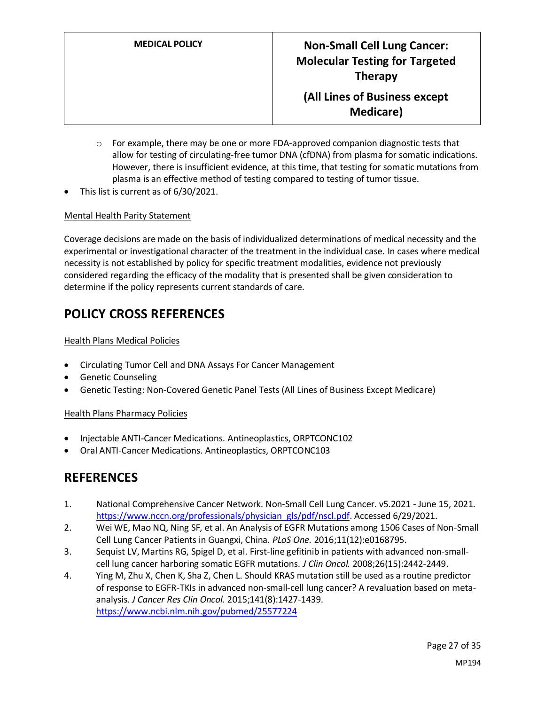- $\circ$  For example, there may be one or more FDA-approved companion diagnostic tests that allow for testing of circulating-free tumor DNA (cfDNA) from plasma for somatic indications. However, there is insufficient evidence, at this time, that testing for somatic mutations from plasma is an effective method of testing compared to testing of tumor tissue.
- This list is current as of 6/30/2021.

#### Mental Health Parity Statement

Coverage decisions are made on the basis of individualized determinations of medical necessity and the experimental or investigational character of the treatment in the individual case. In cases where medical necessity is not established by policy for specific treatment modalities, evidence not previously considered regarding the efficacy of the modality that is presented shall be given consideration to determine if the policy represents current standards of care.

### <span id="page-26-0"></span>**POLICY CROSS REFERENCES**

#### Health Plans Medical Policies

- Circulating Tumor Cell and DNA Assays For Cancer Management
- Genetic Counseling
- Genetic Testing: Non-Covered Genetic Panel Tests (All Lines of Business Except Medicare)

#### Health Plans Pharmacy Policies

- Injectable ANTI-Cancer Medications. Antineoplastics, ORPTCONC102
- Oral ANTI-Cancer Medications. Antineoplastics, ORPTCONC103

### **REFERENCES**

- 1. National Comprehensive Cancer Network. Non-Small Cell Lung Cancer. v5.2021 June 15, 2021. [https://www.nccn.org/professionals/physician\\_gls/pdf/nscl.pdf.](https://www.nccn.org/professionals/physician_gls/pdf/nscl.pdf) Accessed 6/29/2021.
- 2. Wei WE, Mao NQ, Ning SF, et al. An Analysis of EGFR Mutations among 1506 Cases of Non-Small Cell Lung Cancer Patients in Guangxi, China. *PLoS One.* 2016;11(12):e0168795.
- 3. Sequist LV, Martins RG, Spigel D, et al. First-line gefitinib in patients with advanced non-smallcell lung cancer harboring somatic EGFR mutations. *J Clin Oncol.* 2008;26(15):2442-2449.
- 4. Ying M, Zhu X, Chen K, Sha Z, Chen L. Should KRAS mutation still be used as a routine predictor of response to EGFR-TKIs in advanced non-small-cell lung cancer? A revaluation based on metaanalysis. *J Cancer Res Clin Oncol.* 2015;141(8):1427-1439. <https://www.ncbi.nlm.nih.gov/pubmed/25577224>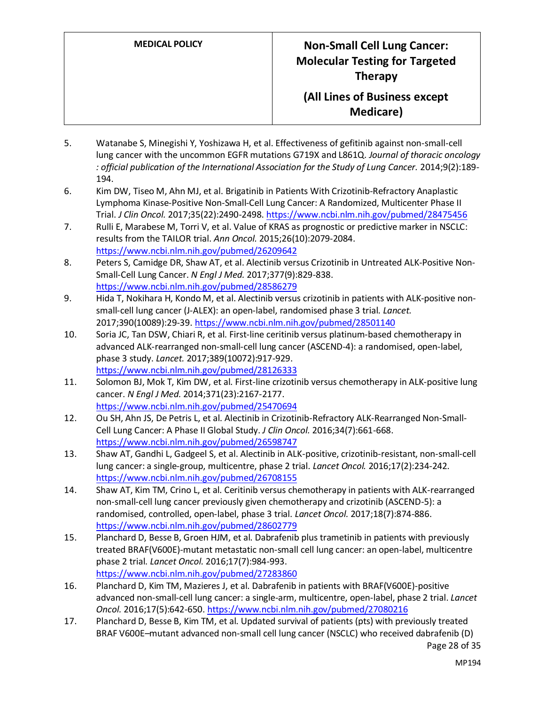- 5. Watanabe S, Minegishi Y, Yoshizawa H, et al. Effectiveness of gefitinib against non-small-cell lung cancer with the uncommon EGFR mutations G719X and L861Q. *Journal of thoracic oncology : official publication of the International Association for the Study of Lung Cancer.* 2014;9(2):189- 194.
- 6. Kim DW, Tiseo M, Ahn MJ, et al. Brigatinib in Patients With Crizotinib-Refractory Anaplastic Lymphoma Kinase-Positive Non-Small-Cell Lung Cancer: A Randomized, Multicenter Phase II Trial. *J Clin Oncol.* 2017;35(22):2490-2498.<https://www.ncbi.nlm.nih.gov/pubmed/28475456>
- 7. Rulli E, Marabese M, Torri V, et al. Value of KRAS as prognostic or predictive marker in NSCLC: results from the TAILOR trial. *Ann Oncol.* 2015;26(10):2079-2084. <https://www.ncbi.nlm.nih.gov/pubmed/26209642>
- 8. Peters S, Camidge DR, Shaw AT, et al. Alectinib versus Crizotinib in Untreated ALK-Positive Non-Small-Cell Lung Cancer. *N Engl J Med.* 2017;377(9):829-838. <https://www.ncbi.nlm.nih.gov/pubmed/28586279>
- 9. Hida T, Nokihara H, Kondo M, et al. Alectinib versus crizotinib in patients with ALK-positive nonsmall-cell lung cancer (J-ALEX): an open-label, randomised phase 3 trial. *Lancet.*  2017;390(10089):29-39[. https://www.ncbi.nlm.nih.gov/pubmed/28501140](https://www.ncbi.nlm.nih.gov/pubmed/28501140)
- 10. Soria JC, Tan DSW, Chiari R, et al. First-line ceritinib versus platinum-based chemotherapy in advanced ALK-rearranged non-small-cell lung cancer (ASCEND-4): a randomised, open-label, phase 3 study. *Lancet.* 2017;389(10072):917-929. <https://www.ncbi.nlm.nih.gov/pubmed/28126333>
- 11. Solomon BJ, Mok T, Kim DW, et al. First-line crizotinib versus chemotherapy in ALK-positive lung cancer. *N Engl J Med.* 2014;371(23):2167-2177. <https://www.ncbi.nlm.nih.gov/pubmed/25470694>
- 12. Ou SH, Ahn JS, De Petris L, et al. Alectinib in Crizotinib-Refractory ALK-Rearranged Non-Small-Cell Lung Cancer: A Phase II Global Study. *J Clin Oncol.* 2016;34(7):661-668. <https://www.ncbi.nlm.nih.gov/pubmed/26598747>
- 13. Shaw AT, Gandhi L, Gadgeel S, et al. Alectinib in ALK-positive, crizotinib-resistant, non-small-cell lung cancer: a single-group, multicentre, phase 2 trial. *Lancet Oncol.* 2016;17(2):234-242. <https://www.ncbi.nlm.nih.gov/pubmed/26708155>
- 14. Shaw AT, Kim TM, Crino L, et al. Ceritinib versus chemotherapy in patients with ALK-rearranged non-small-cell lung cancer previously given chemotherapy and crizotinib (ASCEND-5): a randomised, controlled, open-label, phase 3 trial. *Lancet Oncol.* 2017;18(7):874-886. <https://www.ncbi.nlm.nih.gov/pubmed/28602779>
- 15. Planchard D, Besse B, Groen HJM, et al. Dabrafenib plus trametinib in patients with previously treated BRAF(V600E)-mutant metastatic non-small cell lung cancer: an open-label, multicentre phase 2 trial. *Lancet Oncol.* 2016;17(7):984-993. <https://www.ncbi.nlm.nih.gov/pubmed/27283860>
- 16. Planchard D, Kim TM, Mazieres J, et al. Dabrafenib in patients with BRAF(V600E)-positive advanced non-small-cell lung cancer: a single-arm, multicentre, open-label, phase 2 trial. *Lancet Oncol.* 2016;17(5):642-650[. https://www.ncbi.nlm.nih.gov/pubmed/27080216](https://www.ncbi.nlm.nih.gov/pubmed/27080216)
- 17. Planchard D, Besse B, Kim TM, et al. Updated survival of patients (pts) with previously treated BRAF V600E–mutant advanced non-small cell lung cancer (NSCLC) who received dabrafenib (D)

Page 28 of 35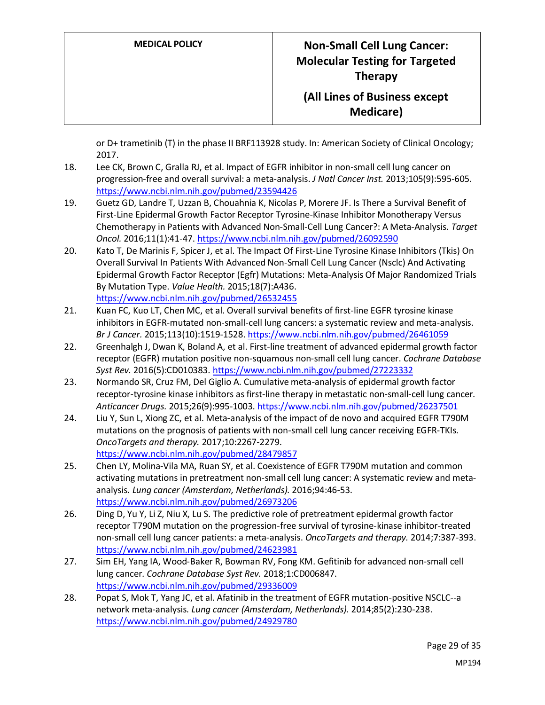or D+ trametinib (T) in the phase II BRF113928 study. In: American Society of Clinical Oncology; 2017.

- 18. Lee CK, Brown C, Gralla RJ, et al. Impact of EGFR inhibitor in non-small cell lung cancer on progression-free and overall survival: a meta-analysis. *J Natl Cancer Inst.* 2013;105(9):595-605. <https://www.ncbi.nlm.nih.gov/pubmed/23594426>
- 19. Guetz GD, Landre T, Uzzan B, Chouahnia K, Nicolas P, Morere JF. Is There a Survival Benefit of First-Line Epidermal Growth Factor Receptor Tyrosine-Kinase Inhibitor Monotherapy Versus Chemotherapy in Patients with Advanced Non-Small-Cell Lung Cancer?: A Meta-Analysis. *Target Oncol.* 2016;11(1):41-47[. https://www.ncbi.nlm.nih.gov/pubmed/26092590](https://www.ncbi.nlm.nih.gov/pubmed/26092590)
- 20. Kato T, De Marinis F, Spicer J, et al. The Impact Of First-Line Tyrosine Kinase Inhibitors (Tkis) On Overall Survival In Patients With Advanced Non-Small Cell Lung Cancer (Nsclc) And Activating Epidermal Growth Factor Receptor (Egfr) Mutations: Meta-Analysis Of Major Randomized Trials By Mutation Type. *Value Health.* 2015;18(7):A436. <https://www.ncbi.nlm.nih.gov/pubmed/26532455>
- 21. Kuan FC, Kuo LT, Chen MC, et al. Overall survival benefits of first-line EGFR tyrosine kinase inhibitors in EGFR-mutated non-small-cell lung cancers: a systematic review and meta-analysis. *Br J Cancer.* 2015;113(10):1519-1528[. https://www.ncbi.nlm.nih.gov/pubmed/26461059](https://www.ncbi.nlm.nih.gov/pubmed/26461059)
- 22. Greenhalgh J, Dwan K, Boland A, et al. First-line treatment of advanced epidermal growth factor receptor (EGFR) mutation positive non-squamous non-small cell lung cancer. *Cochrane Database Syst Rev.* 2016(5):CD010383[. https://www.ncbi.nlm.nih.gov/pubmed/27223332](https://www.ncbi.nlm.nih.gov/pubmed/27223332)
- 23. Normando SR, Cruz FM, Del Giglio A. Cumulative meta-analysis of epidermal growth factor receptor-tyrosine kinase inhibitors as first-line therapy in metastatic non-small-cell lung cancer. *Anticancer Drugs.* 2015;26(9):995-1003.<https://www.ncbi.nlm.nih.gov/pubmed/26237501>
- 24. Liu Y, Sun L, Xiong ZC, et al. Meta-analysis of the impact of de novo and acquired EGFR T790M mutations on the prognosis of patients with non-small cell lung cancer receiving EGFR-TKIs. *OncoTargets and therapy.* 2017;10:2267-2279. <https://www.ncbi.nlm.nih.gov/pubmed/28479857>
- 25. Chen LY, Molina-Vila MA, Ruan SY, et al. Coexistence of EGFR T790M mutation and common activating mutations in pretreatment non-small cell lung cancer: A systematic review and metaanalysis. *Lung cancer (Amsterdam, Netherlands).* 2016;94:46-53. <https://www.ncbi.nlm.nih.gov/pubmed/26973206>
- 26. Ding D, Yu Y, Li Z, Niu X, Lu S. The predictive role of pretreatment epidermal growth factor receptor T790M mutation on the progression-free survival of tyrosine-kinase inhibitor-treated non-small cell lung cancer patients: a meta-analysis. *OncoTargets and therapy.* 2014;7:387-393. <https://www.ncbi.nlm.nih.gov/pubmed/24623981>
- 27. Sim EH, Yang IA, Wood-Baker R, Bowman RV, Fong KM. Gefitinib for advanced non-small cell lung cancer. *Cochrane Database Syst Rev.* 2018;1:CD006847. <https://www.ncbi.nlm.nih.gov/pubmed/29336009>
- 28. Popat S, Mok T, Yang JC, et al. Afatinib in the treatment of EGFR mutation-positive NSCLC--a network meta-analysis. *Lung cancer (Amsterdam, Netherlands).* 2014;85(2):230-238. <https://www.ncbi.nlm.nih.gov/pubmed/24929780>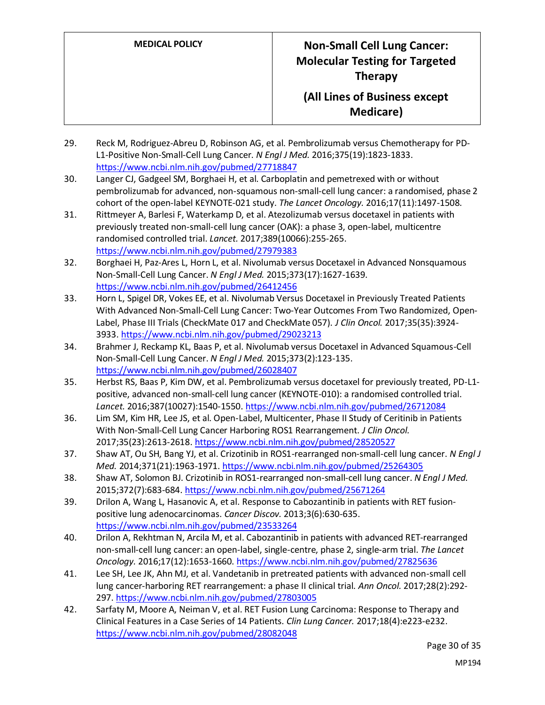- 29. Reck M, Rodriguez-Abreu D, Robinson AG, et al. Pembrolizumab versus Chemotherapy for PD-L1-Positive Non-Small-Cell Lung Cancer. *N Engl J Med.* 2016;375(19):1823-1833. <https://www.ncbi.nlm.nih.gov/pubmed/27718847>
- 30. Langer CJ, Gadgeel SM, Borghaei H, et al. Carboplatin and pemetrexed with or without pembrolizumab for advanced, non-squamous non-small-cell lung cancer: a randomised, phase 2 cohort of the open-label KEYNOTE-021 study. *The Lancet Oncology.* 2016;17(11):1497-1508.
- 31. Rittmeyer A, Barlesi F, Waterkamp D, et al. Atezolizumab versus docetaxel in patients with previously treated non-small-cell lung cancer (OAK): a phase 3, open-label, multicentre randomised controlled trial. *Lancet.* 2017;389(10066):255-265. <https://www.ncbi.nlm.nih.gov/pubmed/27979383>
- 32. Borghaei H, Paz-Ares L, Horn L, et al. Nivolumab versus Docetaxel in Advanced Nonsquamous Non-Small-Cell Lung Cancer. *N Engl J Med.* 2015;373(17):1627-1639. <https://www.ncbi.nlm.nih.gov/pubmed/26412456>
- 33. Horn L, Spigel DR, Vokes EE, et al. Nivolumab Versus Docetaxel in Previously Treated Patients With Advanced Non-Small-Cell Lung Cancer: Two-Year Outcomes From Two Randomized, Open-Label, Phase III Trials (CheckMate 017 and CheckMate 057). *J Clin Oncol.* 2017;35(35):3924- 3933[. https://www.ncbi.nlm.nih.gov/pubmed/29023213](https://www.ncbi.nlm.nih.gov/pubmed/29023213)
- 34. Brahmer J, Reckamp KL, Baas P, et al. Nivolumab versus Docetaxel in Advanced Squamous-Cell Non-Small-Cell Lung Cancer. *N Engl J Med.* 2015;373(2):123-135. <https://www.ncbi.nlm.nih.gov/pubmed/26028407>
- 35. Herbst RS, Baas P, Kim DW, et al. Pembrolizumab versus docetaxel for previously treated, PD-L1 positive, advanced non-small-cell lung cancer (KEYNOTE-010): a randomised controlled trial. *Lancet.* 2016;387(10027):1540-1550[. https://www.ncbi.nlm.nih.gov/pubmed/26712084](https://www.ncbi.nlm.nih.gov/pubmed/26712084)
- 36. Lim SM, Kim HR, Lee JS, et al. Open-Label, Multicenter, Phase II Study of Ceritinib in Patients With Non-Small-Cell Lung Cancer Harboring ROS1 Rearrangement. *J Clin Oncol.*  2017;35(23):2613-2618[. https://www.ncbi.nlm.nih.gov/pubmed/28520527](https://www.ncbi.nlm.nih.gov/pubmed/28520527)
- 37. Shaw AT, Ou SH, Bang YJ, et al. Crizotinib in ROS1-rearranged non-small-cell lung cancer. *N Engl J Med.* 2014;371(21):1963-1971[. https://www.ncbi.nlm.nih.gov/pubmed/25264305](https://www.ncbi.nlm.nih.gov/pubmed/25264305)
- 38. Shaw AT, Solomon BJ. Crizotinib in ROS1-rearranged non-small-cell lung cancer. *N Engl J Med.*  2015;372(7):683-684[. https://www.ncbi.nlm.nih.gov/pubmed/25671264](https://www.ncbi.nlm.nih.gov/pubmed/25671264)
- 39. Drilon A, Wang L, Hasanovic A, et al. Response to Cabozantinib in patients with RET fusionpositive lung adenocarcinomas. *Cancer Discov.* 2013;3(6):630-635. <https://www.ncbi.nlm.nih.gov/pubmed/23533264>
- 40. Drilon A, Rekhtman N, Arcila M, et al. Cabozantinib in patients with advanced RET-rearranged non-small-cell lung cancer: an open-label, single-centre, phase 2, single-arm trial. *The Lancet Oncology.* 2016;17(12):1653-1660[. https://www.ncbi.nlm.nih.gov/pubmed/27825636](https://www.ncbi.nlm.nih.gov/pubmed/27825636)
- 41. Lee SH, Lee JK, Ahn MJ, et al. Vandetanib in pretreated patients with advanced non-small cell lung cancer-harboring RET rearrangement: a phase II clinical trial. *Ann Oncol.* 2017;28(2):292- 297.<https://www.ncbi.nlm.nih.gov/pubmed/27803005>
- 42. Sarfaty M, Moore A, Neiman V, et al. RET Fusion Lung Carcinoma: Response to Therapy and Clinical Features in a Case Series of 14 Patients. *Clin Lung Cancer.* 2017;18(4):e223-e232. <https://www.ncbi.nlm.nih.gov/pubmed/28082048>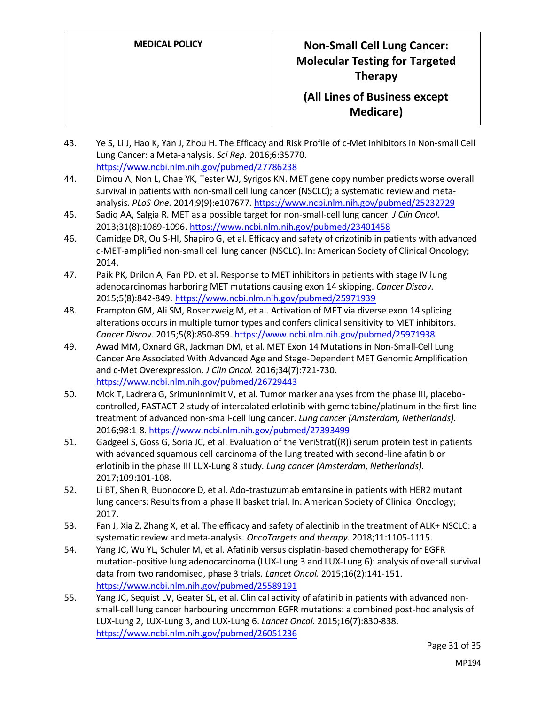### **(All Lines of Business except Medicare)**

- 43. Ye S, Li J, Hao K, Yan J, Zhou H. The Efficacy and Risk Profile of c-Met inhibitors in Non-small Cell Lung Cancer: a Meta-analysis. *Sci Rep.* 2016;6:35770. <https://www.ncbi.nlm.nih.gov/pubmed/27786238>
- 44. Dimou A, Non L, Chae YK, Tester WJ, Syrigos KN. MET gene copy number predicts worse overall survival in patients with non-small cell lung cancer (NSCLC); a systematic review and metaanalysis. *PLoS One.* 2014;9(9):e107677.<https://www.ncbi.nlm.nih.gov/pubmed/25232729>
- 45. Sadiq AA, Salgia R. MET as a possible target for non-small-cell lung cancer. *J Clin Oncol.*  2013;31(8):1089-1096.<https://www.ncbi.nlm.nih.gov/pubmed/23401458>
- 46. Camidge DR, Ou S-HI, Shapiro G, et al. Efficacy and safety of crizotinib in patients with advanced c-MET-amplified non-small cell lung cancer (NSCLC). In: American Society of Clinical Oncology; 2014.
- 47. Paik PK, Drilon A, Fan PD, et al. Response to MET inhibitors in patients with stage IV lung adenocarcinomas harboring MET mutations causing exon 14 skipping. *Cancer Discov.*  2015;5(8):842-849[. https://www.ncbi.nlm.nih.gov/pubmed/25971939](https://www.ncbi.nlm.nih.gov/pubmed/25971939)
- 48. Frampton GM, Ali SM, Rosenzweig M, et al. Activation of MET via diverse exon 14 splicing alterations occurs in multiple tumor types and confers clinical sensitivity to MET inhibitors. *Cancer Discov.* 2015;5(8):850-859[. https://www.ncbi.nlm.nih.gov/pubmed/25971938](https://www.ncbi.nlm.nih.gov/pubmed/25971938)
- 49. Awad MM, Oxnard GR, Jackman DM, et al. MET Exon 14 Mutations in Non-Small-Cell Lung Cancer Are Associated With Advanced Age and Stage-Dependent MET Genomic Amplification and c-Met Overexpression. *J Clin Oncol.* 2016;34(7):721-730. <https://www.ncbi.nlm.nih.gov/pubmed/26729443>
- 50. Mok T, Ladrera G, Srimuninnimit V, et al. Tumor marker analyses from the phase III, placebocontrolled, FASTACT-2 study of intercalated erlotinib with gemcitabine/platinum in the first-line treatment of advanced non-small-cell lung cancer. *Lung cancer (Amsterdam, Netherlands).*  2016;98:1-8.<https://www.ncbi.nlm.nih.gov/pubmed/27393499>
- 51. Gadgeel S, Goss G, Soria JC, et al. Evaluation of the VeriStrat((R)) serum protein test in patients with advanced squamous cell carcinoma of the lung treated with second-line afatinib or erlotinib in the phase III LUX-Lung 8 study. *Lung cancer (Amsterdam, Netherlands).*  2017;109:101-108.
- 52. Li BT, Shen R, Buonocore D, et al. Ado-trastuzumab emtansine in patients with HER2 mutant lung cancers: Results from a phase II basket trial. In: American Society of Clinical Oncology; 2017.
- 53. Fan J, Xia Z, Zhang X, et al. The efficacy and safety of alectinib in the treatment of ALK+ NSCLC: a systematic review and meta-analysis. *OncoTargets and therapy.* 2018;11:1105-1115.
- 54. Yang JC, Wu YL, Schuler M, et al. Afatinib versus cisplatin-based chemotherapy for EGFR mutation-positive lung adenocarcinoma (LUX-Lung 3 and LUX-Lung 6): analysis of overall survival data from two randomised, phase 3 trials. *Lancet Oncol.* 2015;16(2):141-151. <https://www.ncbi.nlm.nih.gov/pubmed/25589191>
- 55. Yang JC, Sequist LV, Geater SL, et al. Clinical activity of afatinib in patients with advanced nonsmall-cell lung cancer harbouring uncommon EGFR mutations: a combined post-hoc analysis of LUX-Lung 2, LUX-Lung 3, and LUX-Lung 6. *Lancet Oncol.* 2015;16(7):830-838. <https://www.ncbi.nlm.nih.gov/pubmed/26051236>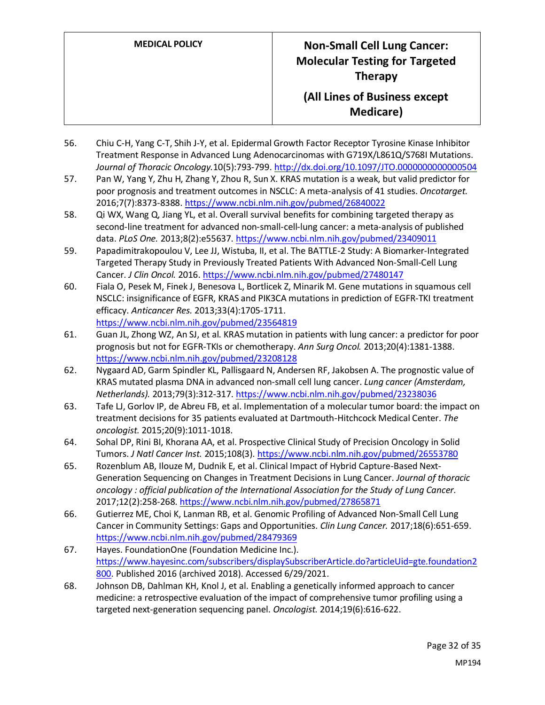- 56. Chiu C-H, Yang C-T, Shih J-Y, et al. Epidermal Growth Factor Receptor Tyrosine Kinase Inhibitor Treatment Response in Advanced Lung Adenocarcinomas with G719X/L861Q/S768I Mutations. *Journal of Thoracic Oncology.*10(5):793-799[. http://dx.doi.org/10.1097/JTO.0000000000000504](http://dx.doi.org/10.1097/JTO.0000000000000504)
- 57. Pan W, Yang Y, Zhu H, Zhang Y, Zhou R, Sun X. KRAS mutation is a weak, but valid predictor for poor prognosis and treatment outcomes in NSCLC: A meta-analysis of 41 studies. *Oncotarget.*  2016;7(7):8373-8388[. https://www.ncbi.nlm.nih.gov/pubmed/26840022](https://www.ncbi.nlm.nih.gov/pubmed/26840022)
- 58. Qi WX, Wang Q, Jiang YL, et al. Overall survival benefits for combining targeted therapy as second-line treatment for advanced non-small-cell-lung cancer: a meta-analysis of published data. *PLoS One.* 2013;8(2):e55637[. https://www.ncbi.nlm.nih.gov/pubmed/23409011](https://www.ncbi.nlm.nih.gov/pubmed/23409011)
- 59. Papadimitrakopoulou V, Lee JJ, Wistuba, II, et al. The BATTLE-2 Study: A Biomarker-Integrated Targeted Therapy Study in Previously Treated Patients With Advanced Non-Small-Cell Lung Cancer. *J Clin Oncol.* 2016[. https://www.ncbi.nlm.nih.gov/pubmed/27480147](https://www.ncbi.nlm.nih.gov/pubmed/27480147)
- 60. Fiala O, Pesek M, Finek J, Benesova L, Bortlicek Z, Minarik M. Gene mutations in squamous cell NSCLC: insignificance of EGFR, KRAS and PIK3CA mutations in prediction of EGFR-TKI treatment efficacy. *Anticancer Res.* 2013;33(4):1705-1711. <https://www.ncbi.nlm.nih.gov/pubmed/23564819>
- 61. Guan JL, Zhong WZ, An SJ, et al. KRAS mutation in patients with lung cancer: a predictor for poor prognosis but not for EGFR-TKIs or chemotherapy. *Ann Surg Oncol.* 2013;20(4):1381-1388. <https://www.ncbi.nlm.nih.gov/pubmed/23208128>
- 62. Nygaard AD, Garm Spindler KL, Pallisgaard N, Andersen RF, Jakobsen A. The prognostic value of KRAS mutated plasma DNA in advanced non-small cell lung cancer. *Lung cancer (Amsterdam, Netherlands).* 2013;79(3):312-317[. https://www.ncbi.nlm.nih.gov/pubmed/23238036](https://www.ncbi.nlm.nih.gov/pubmed/23238036)
- 63. Tafe LJ, Gorlov IP, de Abreu FB, et al. Implementation of a molecular tumor board: the impact on treatment decisions for 35 patients evaluated at Dartmouth-Hitchcock Medical Center. *The oncologist.* 2015;20(9):1011-1018.
- 64. Sohal DP, Rini BI, Khorana AA, et al. Prospective Clinical Study of Precision Oncology in Solid Tumors. *J Natl Cancer Inst.* 2015;108(3).<https://www.ncbi.nlm.nih.gov/pubmed/26553780>
- 65. Rozenblum AB, Ilouze M, Dudnik E, et al. Clinical Impact of Hybrid Capture-Based Next-Generation Sequencing on Changes in Treatment Decisions in Lung Cancer. *Journal of thoracic oncology : official publication of the International Association for the Study of Lung Cancer.*  2017;12(2):258-268[. https://www.ncbi.nlm.nih.gov/pubmed/27865871](https://www.ncbi.nlm.nih.gov/pubmed/27865871)
- 66. Gutierrez ME, Choi K, Lanman RB, et al. Genomic Profiling of Advanced Non-Small Cell Lung Cancer in Community Settings: Gaps and Opportunities. *Clin Lung Cancer.* 2017;18(6):651-659. <https://www.ncbi.nlm.nih.gov/pubmed/28479369>
- 67. Hayes. FoundationOne (Foundation Medicine Inc.). [https://www.hayesinc.com/subscribers/displaySubscriberArticle.do?articleUid=gte.foundation2](https://www.hayesinc.com/subscribers/displaySubscriberArticle.do?articleUid=gte.foundation2800) [800.](https://www.hayesinc.com/subscribers/displaySubscriberArticle.do?articleUid=gte.foundation2800) Published 2016 (archived 2018). Accessed 6/29/2021.
- 68. Johnson DB, Dahlman KH, Knol J, et al. Enabling a genetically informed approach to cancer medicine: a retrospective evaluation of the impact of comprehensive tumor profiling using a targeted next-generation sequencing panel. *Oncologist.* 2014;19(6):616-622.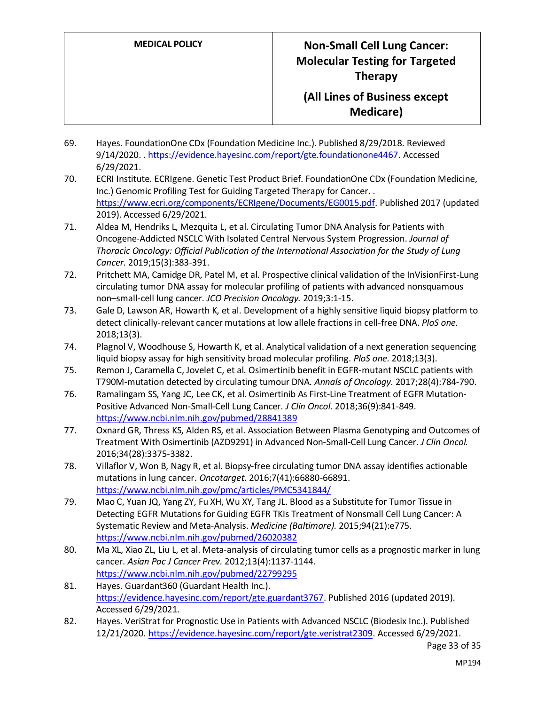### **(All Lines of Business except Medicare)**

- 69. Hayes. FoundationOne CDx (Foundation Medicine Inc.). Published 8/29/2018. Reviewed 9/14/2020. . [https://evidence.hayesinc.com/report/gte.foundationone4467.](https://evidence.hayesinc.com/report/gte.foundationone4467) Accessed 6/29/2021.
- 70. ECRI Institute. ECRIgene. Genetic Test Product Brief. FoundationOne CDx (Foundation Medicine, Inc.) Genomic Profiling Test for Guiding Targeted Therapy for Cancer. . [https://www.ecri.org/components/ECRIgene/Documents/EG0015.pdf.](https://www.ecri.org/components/ECRIgene/Documents/EG0015.pdf) Published 2017 (updated 2019). Accessed 6/29/2021.
- 71. Aldea M, Hendriks L, Mezquita L, et al. Circulating Tumor DNA Analysis for Patients with Oncogene-Addicted NSCLC With Isolated Central Nervous System Progression. *Journal of Thoracic Oncology: Official Publication of the International Association for the Study of Lung Cancer.* 2019;15(3):383-391.
- 72. Pritchett MA, Camidge DR, Patel M, et al. Prospective clinical validation of the InVisionFirst-Lung circulating tumor DNA assay for molecular profiling of patients with advanced nonsquamous non–small-cell lung cancer. *JCO Precision Oncology.* 2019;3:1-15.
- 73. Gale D, Lawson AR, Howarth K, et al. Development of a highly sensitive liquid biopsy platform to detect clinically-relevant cancer mutations at low allele fractions in cell-free DNA. *PloS one.*  2018;13(3).
- 74. Plagnol V, Woodhouse S, Howarth K, et al. Analytical validation of a next generation sequencing liquid biopsy assay for high sensitivity broad molecular profiling. *PloS one.* 2018;13(3).
- 75. Remon J, Caramella C, Jovelet C, et al. Osimertinib benefit in EGFR-mutant NSCLC patients with T790M-mutation detected by circulating tumour DNA. *Annals of Oncology.* 2017;28(4):784-790.
- 76. Ramalingam SS, Yang JC, Lee CK, et al. Osimertinib As First-Line Treatment of EGFR Mutation-Positive Advanced Non-Small-Cell Lung Cancer. *J Clin Oncol.* 2018;36(9):841-849. <https://www.ncbi.nlm.nih.gov/pubmed/28841389>
- 77. Oxnard GR, Thress KS, Alden RS, et al. Association Between Plasma Genotyping and Outcomes of Treatment With Osimertinib (AZD9291) in Advanced Non-Small-Cell Lung Cancer. *J Clin Oncol.*  2016;34(28):3375-3382.
- 78. Villaflor V, Won B, Nagy R, et al. Biopsy-free circulating tumor DNA assay identifies actionable mutations in lung cancer. *Oncotarget.* 2016;7(41):66880-66891. <https://www.ncbi.nlm.nih.gov/pmc/articles/PMC5341844/>
- 79. Mao C, Yuan JQ, Yang ZY, Fu XH, Wu XY, Tang JL. Blood as a Substitute for Tumor Tissue in Detecting EGFR Mutations for Guiding EGFR TKIs Treatment of Nonsmall Cell Lung Cancer: A Systematic Review and Meta-Analysis. *Medicine (Baltimore).* 2015;94(21):e775. <https://www.ncbi.nlm.nih.gov/pubmed/26020382>
- 80. Ma XL, Xiao ZL, Liu L, et al. Meta-analysis of circulating tumor cells as a prognostic marker in lung cancer. *Asian Pac J Cancer Prev.* 2012;13(4):1137-1144. <https://www.ncbi.nlm.nih.gov/pubmed/22799295>
- 81. Hayes. Guardant360 (Guardant Health Inc.). [https://evidence.hayesinc.com/report/gte.guardant3767.](https://evidence.hayesinc.com/report/gte.guardant3767) Published 2016 (updated 2019). Accessed 6/29/2021.
- 82. Hayes. VeriStrat for Prognostic Use in Patients with Advanced NSCLC (Biodesix Inc.). Published 12/21/2020[. https://evidence.hayesinc.com/report/gte.veristrat2309.](https://evidence.hayesinc.com/report/gte.veristrat2309) Accessed 6/29/2021.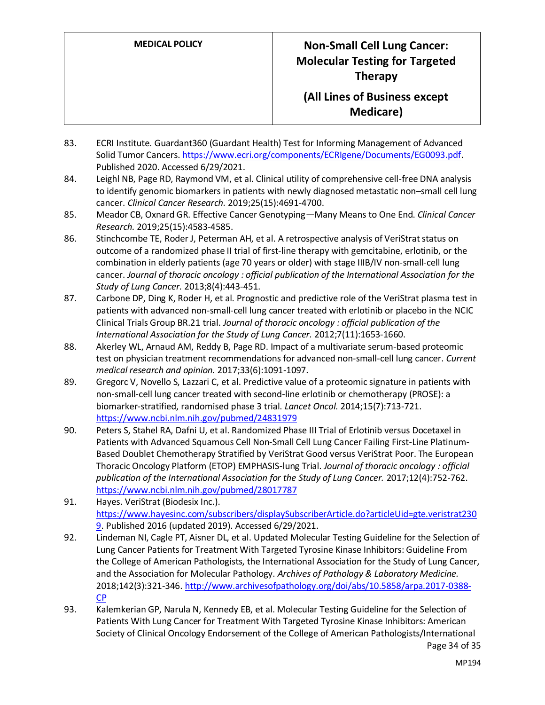- 83. ECRI Institute. Guardant360 (Guardant Health) Test for Informing Management of Advanced Solid Tumor Cancers[. https://www.ecri.org/components/ECRIgene/Documents/EG0093.pdf.](https://www.ecri.org/components/ECRIgene/Documents/EG0093.pdf) Published 2020. Accessed 6/29/2021.
- 84. Leighl NB, Page RD, Raymond VM, et al. Clinical utility of comprehensive cell-free DNA analysis to identify genomic biomarkers in patients with newly diagnosed metastatic non–small cell lung cancer. *Clinical Cancer Research.* 2019;25(15):4691-4700.
- 85. Meador CB, Oxnard GR. Effective Cancer Genotyping—Many Means to One End. *Clinical Cancer Research.* 2019;25(15):4583-4585.
- 86. Stinchcombe TE, Roder J, Peterman AH, et al. A retrospective analysis of VeriStrat status on outcome of a randomized phase II trial of first-line therapy with gemcitabine, erlotinib, or the combination in elderly patients (age 70 years or older) with stage IIIB/IV non-small-cell lung cancer. *Journal of thoracic oncology : official publication of the International Association for the Study of Lung Cancer.* 2013;8(4):443-451.
- 87. Carbone DP, Ding K, Roder H, et al. Prognostic and predictive role of the VeriStrat plasma test in patients with advanced non-small-cell lung cancer treated with erlotinib or placebo in the NCIC Clinical Trials Group BR.21 trial. *Journal of thoracic oncology : official publication of the International Association for the Study of Lung Cancer.* 2012;7(11):1653-1660.
- 88. Akerley WL, Arnaud AM, Reddy B, Page RD. Impact of a multivariate serum-based proteomic test on physician treatment recommendations for advanced non-small-cell lung cancer. *Current medical research and opinion.* 2017;33(6):1091-1097.
- 89. Gregorc V, Novello S, Lazzari C, et al. Predictive value of a proteomic signature in patients with non-small-cell lung cancer treated with second-line erlotinib or chemotherapy (PROSE): a biomarker-stratified, randomised phase 3 trial. *Lancet Oncol.* 2014;15(7):713-721. <https://www.ncbi.nlm.nih.gov/pubmed/24831979>
- 90. Peters S, Stahel RA, Dafni U, et al. Randomized Phase III Trial of Erlotinib versus Docetaxel in Patients with Advanced Squamous Cell Non-Small Cell Lung Cancer Failing First-Line Platinum-Based Doublet Chemotherapy Stratified by VeriStrat Good versus VeriStrat Poor. The European Thoracic Oncology Platform (ETOP) EMPHASIS-lung Trial. *Journal of thoracic oncology : official publication of the International Association for the Study of Lung Cancer.* 2017;12(4):752-762. <https://www.ncbi.nlm.nih.gov/pubmed/28017787>
- 91. Hayes. VeriStrat (Biodesix Inc.). [https://www.hayesinc.com/subscribers/displaySubscriberArticle.do?articleUid=gte.veristrat230](https://www.hayesinc.com/subscribers/displaySubscriberArticle.do?articleUid=gte.veristrat2309) [9.](https://www.hayesinc.com/subscribers/displaySubscriberArticle.do?articleUid=gte.veristrat2309) Published 2016 (updated 2019). Accessed 6/29/2021.
- 92. Lindeman NI, Cagle PT, Aisner DL, et al. Updated Molecular Testing Guideline for the Selection of Lung Cancer Patients for Treatment With Targeted Tyrosine Kinase Inhibitors: Guideline From the College of American Pathologists, the International Association for the Study of Lung Cancer, and the Association for Molecular Pathology. *Archives of Pathology & Laboratory Medicine.*  2018;142(3):321-346[. http://www.archivesofpathology.org/doi/abs/10.5858/arpa.2017-0388-](http://www.archivesofpathology.org/doi/abs/10.5858/arpa.2017-0388-CP) [CP](http://www.archivesofpathology.org/doi/abs/10.5858/arpa.2017-0388-CP)
- Page 34 of 35 93. Kalemkerian GP, Narula N, Kennedy EB, et al. Molecular Testing Guideline for the Selection of Patients With Lung Cancer for Treatment With Targeted Tyrosine Kinase Inhibitors: American Society of Clinical Oncology Endorsement of the College of American Pathologists/International